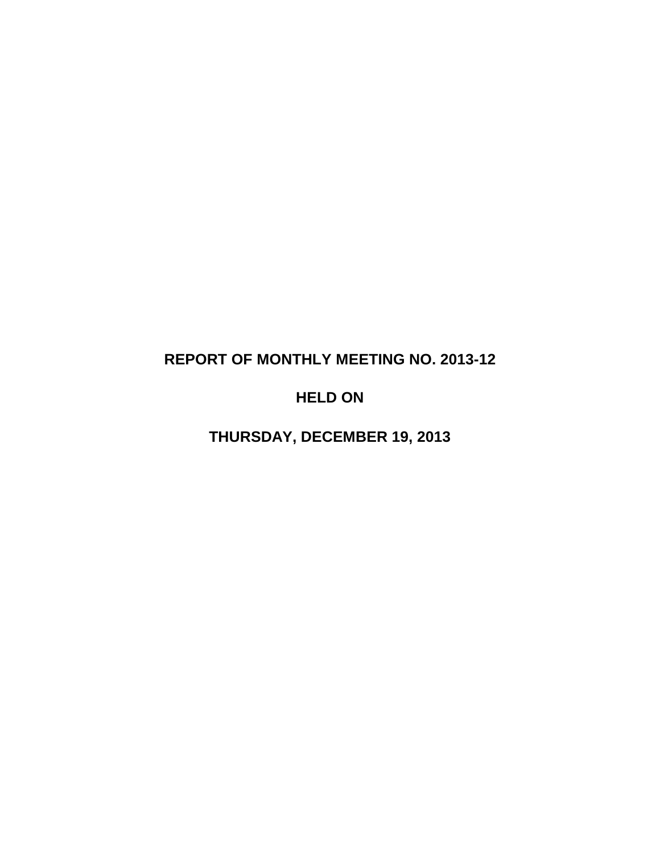# **REPORT OF MONTHLY MEETING NO. 2013-12**

# **HELD ON**

**THURSDAY, DECEMBER 19, 2013**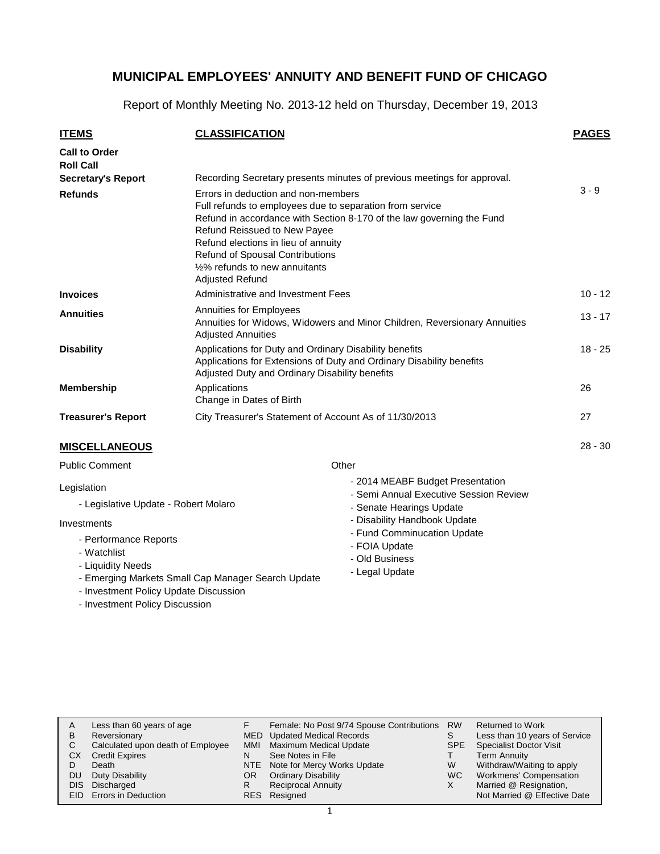Report of Monthly Meeting No. 2013-12 held on Thursday, December 19, 2013

| <b>ITEMS</b>                             | <b>CLASSIFICATION</b>                                                                                                                                                                                                                                                                                                                          | <b>PAGES</b> |
|------------------------------------------|------------------------------------------------------------------------------------------------------------------------------------------------------------------------------------------------------------------------------------------------------------------------------------------------------------------------------------------------|--------------|
| <b>Call to Order</b><br><b>Roll Call</b> |                                                                                                                                                                                                                                                                                                                                                |              |
| <b>Secretary's Report</b>                | Recording Secretary presents minutes of previous meetings for approval.                                                                                                                                                                                                                                                                        |              |
| <b>Refunds</b>                           | Errors in deduction and non-members<br>Full refunds to employees due to separation from service<br>Refund in accordance with Section 8-170 of the law governing the Fund<br>Refund Reissued to New Payee<br>Refund elections in lieu of annuity<br>Refund of Spousal Contributions<br>1/2% refunds to new annuitants<br><b>Adjusted Refund</b> | $3 - 9$      |
| <b>Invoices</b>                          | Administrative and Investment Fees                                                                                                                                                                                                                                                                                                             | $10 - 12$    |
| <b>Annuities</b>                         | Annuities for Employees<br>Annuities for Widows, Widowers and Minor Children, Reversionary Annuities<br><b>Adjusted Annuities</b>                                                                                                                                                                                                              | $13 - 17$    |
| <b>Disability</b>                        | Applications for Duty and Ordinary Disability benefits<br>Applications for Extensions of Duty and Ordinary Disability benefits<br>Adjusted Duty and Ordinary Disability benefits                                                                                                                                                               | $18 - 25$    |
| <b>Membership</b>                        | Applications<br>Change in Dates of Birth                                                                                                                                                                                                                                                                                                       | 26           |
| <b>Treasurer's Report</b>                | City Treasurer's Statement of Account As of 11/30/2013                                                                                                                                                                                                                                                                                         | 27           |
| <b>MISCELLANEOUS</b>                     |                                                                                                                                                                                                                                                                                                                                                | $28 - 30$    |
| <b>Public Comment</b>                    | Other                                                                                                                                                                                                                                                                                                                                          |              |
| Legislation                              | - 2014 MEABF Budget Presentation<br>- Semi Annual Executive Session Review                                                                                                                                                                                                                                                                     |              |

- Legislative Update - Robert Molaro

#### Investments

- Performance Reports
- Watchlist
- Liquidity Needs
- Emerging Markets Small Cap Manager Search Update
- Investment Policy Update Discussion
- Investment Policy Discussion
- Senate Hearings Update
- Disability Handbook Update
- Fund Comminucation Update
- FOIA Update
- Old Business
- Legal Update

| A    | Less than 60 years of age         |     | Female: No Post 9/74 Spouse Contributions | <b>RW</b>  | Returned to Work               |
|------|-----------------------------------|-----|-------------------------------------------|------------|--------------------------------|
| в    | Reversionary                      |     | MED Updated Medical Records               |            | Less than 10 years of Service  |
| С    | Calculated upon death of Employee |     | MMI Maximum Medical Update                | <b>SPE</b> | <b>Specialist Doctor Visit</b> |
| CХ   | <b>Credit Expires</b>             | N   | See Notes in File                         |            | <b>Term Annuity</b>            |
|      | Death                             |     | NTE Note for Mercy Works Update           | W          | Withdraw/Waiting to apply      |
| DU   | Duty Disability                   | OR. | <b>Ordinary Disability</b>                | WC.        | Workmens' Compensation         |
| DIS. | Discharged                        |     | <b>Reciprocal Annuity</b>                 | X          | Married @ Resignation,         |
|      | <b>EID</b> Errors in Deduction    |     | RES Resigned                              |            | Not Married @ Effective Date   |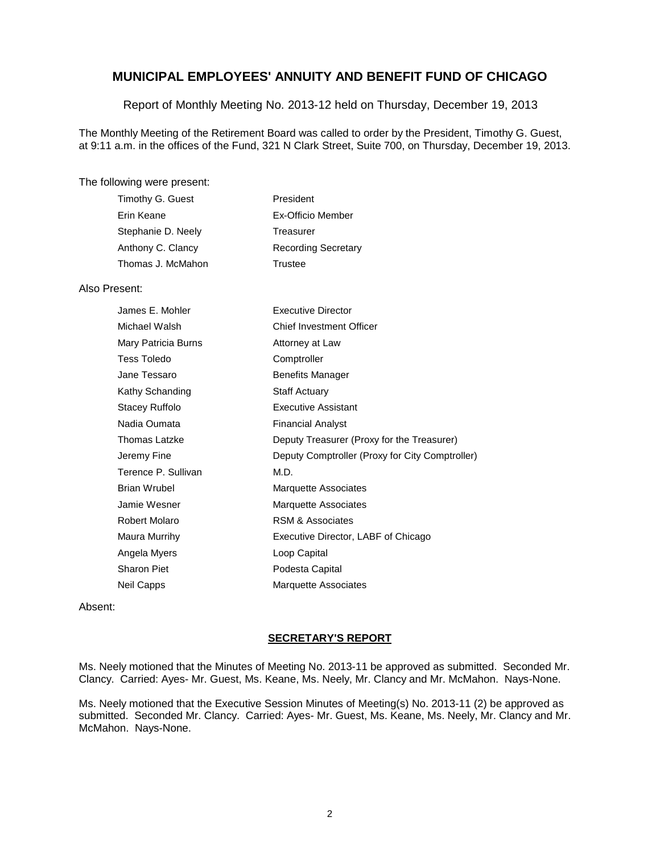Report of Monthly Meeting No. 2013-12 held on Thursday, December 19, 2013

The Monthly Meeting of the Retirement Board was called to order by the President, Timothy G. Guest, at 9:11 a.m. in the offices of the Fund, 321 N Clark Street, Suite 700, on Thursday, December 19, 2013.

#### The following were present:

| Timothy G. Guest   | President                  |
|--------------------|----------------------------|
| Erin Keane         | Ex-Officio Member          |
| Stephanie D. Neely | Treasurer                  |
| Anthony C. Clancy  | <b>Recording Secretary</b> |
| Thomas J. McMahon  | Trustee                    |

#### Also Present:

| James E. Mohler     | <b>Executive Director</b>                       |
|---------------------|-------------------------------------------------|
| Michael Walsh       | <b>Chief Investment Officer</b>                 |
| Mary Patricia Burns | Attorney at Law                                 |
| <b>Tess Toledo</b>  | Comptroller                                     |
| Jane Tessaro        | <b>Benefits Manager</b>                         |
| Kathy Schanding     | <b>Staff Actuary</b>                            |
| Stacey Ruffolo      | <b>Executive Assistant</b>                      |
| Nadia Oumata        | <b>Financial Analyst</b>                        |
| Thomas Latzke       | Deputy Treasurer (Proxy for the Treasurer)      |
| Jeremy Fine         | Deputy Comptroller (Proxy for City Comptroller) |
| Terence P. Sullivan | M.D.                                            |
| Brian Wrubel        | <b>Marquette Associates</b>                     |
| Jamie Wesner        | <b>Marquette Associates</b>                     |
| Robert Molaro       | <b>RSM &amp; Associates</b>                     |
| Maura Murrihy       | Executive Director, LABF of Chicago             |
| Angela Myers        | Loop Capital                                    |
| Sharon Piet         | Podesta Capital                                 |
| Neil Capps          | Marquette Associates                            |

Absent:

#### **SECRETARY'S REPORT**

Ms. Neely motioned that the Minutes of Meeting No. 2013-11 be approved as submitted. Seconded Mr. Clancy. Carried: Ayes- Mr. Guest, Ms. Keane, Ms. Neely, Mr. Clancy and Mr. McMahon. Nays-None.

Ms. Neely motioned that the Executive Session Minutes of Meeting(s) No. 2013-11 (2) be approved as submitted. Seconded Mr. Clancy. Carried: Ayes- Mr. Guest, Ms. Keane, Ms. Neely, Mr. Clancy and Mr. McMahon. Nays-None.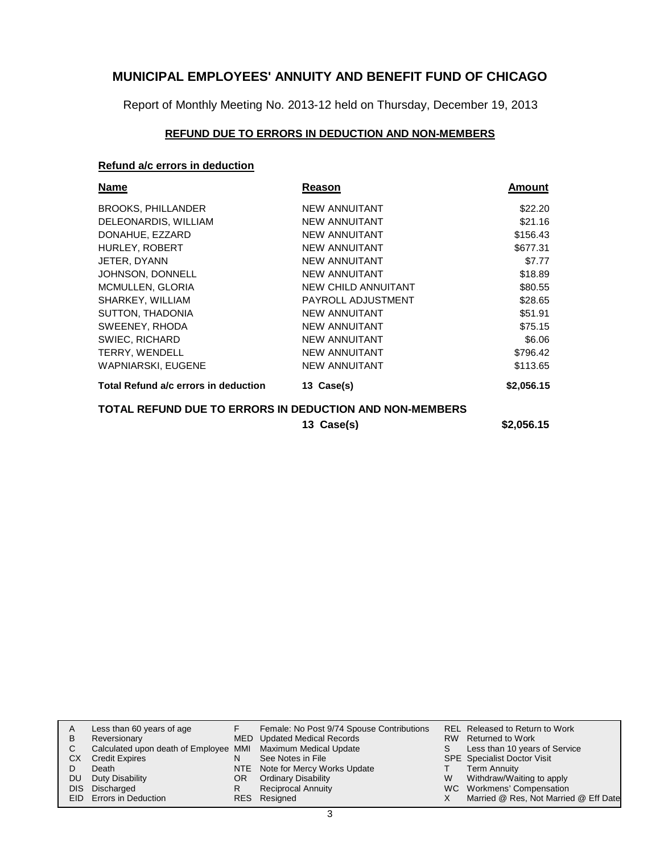Report of Monthly Meeting No. 2013-12 held on Thursday, December 19, 2013

### **REFUND DUE TO ERRORS IN DEDUCTION AND NON-MEMBERS**

### **Refund a/c errors in deduction**

| Name                                                    | Reason               | Amount     |
|---------------------------------------------------------|----------------------|------------|
| <b>BROOKS, PHILLANDER</b>                               | <b>NEW ANNUITANT</b> | \$22.20    |
| DELEONARDIS, WILLIAM                                    | <b>NEW ANNUITANT</b> | \$21.16    |
| DONAHUE, EZZARD                                         | <b>NEW ANNUITANT</b> | \$156.43   |
| HURLEY, ROBERT                                          | <b>NEW ANNUITANT</b> | \$677.31   |
| JETER, DYANN                                            | <b>NEW ANNUITANT</b> | \$7.77     |
| JOHNSON, DONNELL                                        | <b>NEW ANNUITANT</b> | \$18.89    |
| MCMULLEN, GLORIA                                        | NEW CHILD ANNUITANT  | \$80.55    |
| SHARKEY, WILLIAM                                        | PAYROLL ADJUSTMENT   | \$28.65    |
| SUTTON, THADONIA                                        | <b>NEW ANNUITANT</b> | \$51.91    |
| SWEENEY, RHODA                                          | <b>NEW ANNUITANT</b> | \$75.15    |
| SWIEC, RICHARD                                          | <b>NEW ANNUITANT</b> | \$6.06     |
| <b>TERRY, WENDELL</b>                                   | <b>NEW ANNUITANT</b> | \$796.42   |
| <b>WAPNIARSKI, EUGENE</b>                               | <b>NEW ANNUITANT</b> | \$113.65   |
| Total Refund a/c errors in deduction                    | 13 Case(s)           | \$2,056.15 |
| TOTAL REFUND DUE TO ERRORS IN DEDUCTION AND NON-MEMBERS |                      |            |
|                                                         | 13 Case(s)           | \$2,056.15 |

|    | Less than 60 years of age                                    |     | Female: No Post 9/74 Spouse Contributions |   | REL Released to Return to Work        |
|----|--------------------------------------------------------------|-----|-------------------------------------------|---|---------------------------------------|
| В  | Reversionary                                                 |     | MED Updated Medical Records               |   | RW Returned to Work                   |
|    | Calculated upon death of Employee MMI Maximum Medical Update |     |                                           | S | Less than 10 years of Service         |
| CХ | <b>Credit Expires</b>                                        | N   | See Notes in File                         |   | <b>SPE</b> Specialist Doctor Visit    |
|    | Death                                                        |     | NTE Note for Mercy Works Update           |   | <b>Term Annuity</b>                   |
| DU | Duty Disability                                              | OR. | <b>Ordinary Disability</b>                | W | Withdraw/Waiting to apply             |
|    | DIS Discharged                                               | R   | <b>Reciprocal Annuity</b>                 |   | WC Workmens' Compensation             |
|    | <b>EID</b> Errors in Deduction                               |     | RES Resigned                              |   | Married @ Res, Not Married @ Eff Date |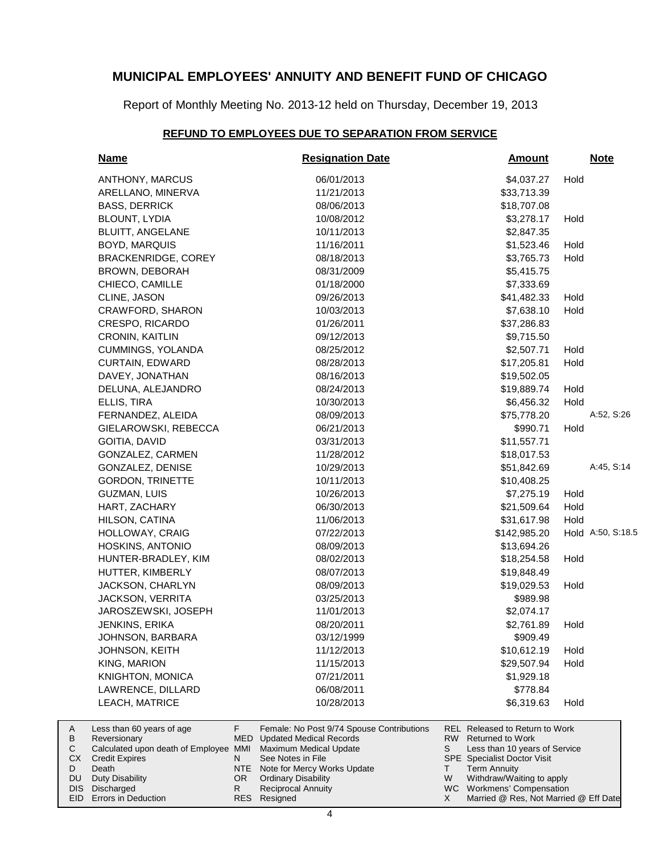Report of Monthly Meeting No. 2013-12 held on Thursday, December 19, 2013

### **REFUND TO EMPLOYEES DUE TO SEPARATION FROM SERVICE**

| <b>Name</b>                                           | <b>Resignation Date</b>                                                            | <b>Amount</b>                                                            |      | <b>Note</b>       |
|-------------------------------------------------------|------------------------------------------------------------------------------------|--------------------------------------------------------------------------|------|-------------------|
| ANTHONY, MARCUS                                       | 06/01/2013                                                                         | \$4,037.27                                                               | Hold |                   |
| ARELLANO, MINERVA                                     | 11/21/2013                                                                         | \$33,713.39                                                              |      |                   |
| <b>BASS, DERRICK</b>                                  | 08/06/2013                                                                         | \$18,707.08                                                              |      |                   |
| BLOUNT, LYDIA                                         | 10/08/2012                                                                         | \$3,278.17                                                               | Hold |                   |
| <b>BLUITT, ANGELANE</b>                               | 10/11/2013                                                                         | \$2,847.35                                                               |      |                   |
| <b>BOYD, MARQUIS</b>                                  | 11/16/2011                                                                         | \$1,523.46                                                               | Hold |                   |
| <b>BRACKENRIDGE, COREY</b>                            | 08/18/2013                                                                         | \$3,765.73                                                               | Hold |                   |
| BROWN, DEBORAH                                        | 08/31/2009                                                                         | \$5,415.75                                                               |      |                   |
| CHIECO, CAMILLE                                       | 01/18/2000                                                                         | \$7,333.69                                                               |      |                   |
| CLINE, JASON                                          | 09/26/2013                                                                         | \$41,482.33                                                              | Hold |                   |
| CRAWFORD, SHARON                                      | 10/03/2013                                                                         | \$7,638.10                                                               | Hold |                   |
| CRESPO, RICARDO                                       | 01/26/2011                                                                         | \$37,286.83                                                              |      |                   |
| CRONIN, KAITLIN                                       | 09/12/2013                                                                         | \$9,715.50                                                               |      |                   |
| <b>CUMMINGS, YOLANDA</b>                              | 08/25/2012                                                                         | \$2,507.71                                                               | Hold |                   |
| CURTAIN, EDWARD                                       | 08/28/2013                                                                         | \$17,205.81                                                              | Hold |                   |
| DAVEY, JONATHAN                                       | 08/16/2013                                                                         | \$19,502.05                                                              |      |                   |
| DELUNA, ALEJANDRO                                     | 08/24/2013                                                                         | \$19,889.74                                                              | Hold |                   |
| ELLIS, TIRA                                           | 10/30/2013                                                                         | \$6,456.32                                                               | Hold |                   |
| FERNANDEZ, ALEIDA                                     | 08/09/2013                                                                         | \$75,778.20                                                              |      | A:52, S:26        |
| GIELAROWSKI, REBECCA                                  | 06/21/2013                                                                         | \$990.71                                                                 | Hold |                   |
| GOITIA, DAVID                                         | 03/31/2013                                                                         | \$11,557.71                                                              |      |                   |
| GONZALEZ, CARMEN                                      | 11/28/2012                                                                         | \$18,017.53                                                              |      |                   |
| GONZALEZ, DENISE                                      | 10/29/2013                                                                         | \$51,842.69                                                              |      | A:45, S:14        |
| <b>GORDON, TRINETTE</b>                               | 10/11/2013                                                                         | \$10,408.25                                                              |      |                   |
| GUZMAN, LUIS                                          | 10/26/2013                                                                         | \$7,275.19                                                               | Hold |                   |
| HART, ZACHARY                                         | 06/30/2013                                                                         | \$21,509.64                                                              | Hold |                   |
| HILSON, CATINA                                        | 11/06/2013                                                                         | \$31,617.98                                                              | Hold |                   |
| <b>HOLLOWAY, CRAIG</b>                                | 07/22/2013                                                                         | \$142,985.20                                                             |      | Hold A:50, S:18.5 |
| <b>HOSKINS, ANTONIO</b>                               | 08/09/2013                                                                         | \$13,694.26                                                              |      |                   |
| HUNTER-BRADLEY, KIM                                   | 08/02/2013                                                                         | \$18,254.58                                                              | Hold |                   |
| HUTTER, KIMBERLY                                      | 08/07/2013                                                                         | \$19,848.49                                                              |      |                   |
| JACKSON, CHARLYN                                      | 08/09/2013                                                                         | \$19,029.53                                                              | Hold |                   |
| JACKSON, VERRITA                                      | 03/25/2013                                                                         | \$989.98                                                                 |      |                   |
| JAROSZEWSKI, JOSEPH                                   | 11/01/2013                                                                         | \$2,074.17                                                               |      |                   |
| <b>JENKINS, ERIKA</b>                                 | 08/20/2011                                                                         | \$2,761.89                                                               | Hold |                   |
| JOHNSON, BARBARA                                      | 03/12/1999                                                                         | \$909.49                                                                 |      |                   |
| <b>JOHNSON, KEITH</b>                                 | 11/12/2013                                                                         | \$10,612.19                                                              | Hold |                   |
| KING, MARION                                          | 11/15/2013                                                                         | \$29,507.94                                                              | Hold |                   |
| <b>KNIGHTON, MONICA</b>                               | 07/21/2011                                                                         | \$1,929.18                                                               |      |                   |
| LAWRENCE, DILLARD                                     | 06/08/2011                                                                         | \$778.84                                                                 |      |                   |
| <b>LEACH, MATRICE</b>                                 | 10/28/2013                                                                         | \$6,319.63                                                               | Hold |                   |
| Less than 60 years of age<br>F.                       | Female: No Post 9/74 Spouse Contributions<br>MED<br><b>Updated Medical Records</b> | <b>REL Released to Return to Work</b><br>RW  <br><b>Returned to Work</b> |      |                   |
| Reversionary<br>Calculated upon death of Employee MMI | Maximum Medical Update                                                             | S<br>Less than 10 years of Service                                       |      |                   |
| <b>Credit Expires</b><br>N                            | See Notes in File                                                                  | SPE Specialist Doctor Visit                                              |      |                   |

- Note for Mercy Works Update OR Ordinary Disability
- Reciprocal Annuity Resigned RES

NTE R

Death Duty Disability DIS Discharged EID Errors in Deduction

A B  $\mathbf C$ CX D DU

4

Term Annuity

T W X

Withdraw/Waiting to apply WC Workmens' Compensation

Married @ Res, Not Married @ Eff Date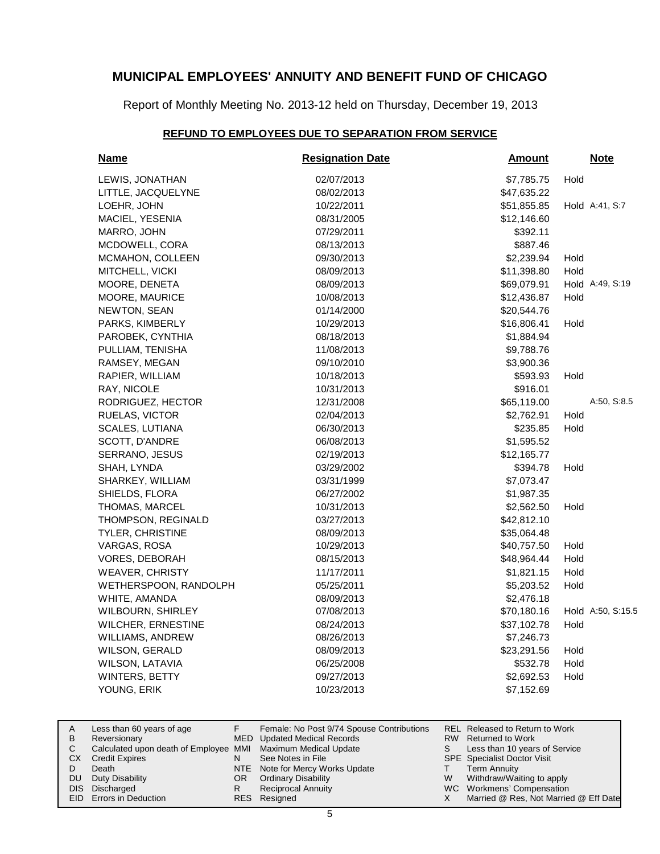Report of Monthly Meeting No. 2013-12 held on Thursday, December 19, 2013

### **REFUND TO EMPLOYEES DUE TO SEPARATION FROM SERVICE**

| <b>Name</b>              | <b>Resignation Date</b> | <b>Amount</b> | <b>Note</b>       |
|--------------------------|-------------------------|---------------|-------------------|
| LEWIS, JONATHAN          | 02/07/2013              | \$7,785.75    | Hold              |
| LITTLE, JACQUELYNE       | 08/02/2013              | \$47,635.22   |                   |
| LOEHR, JOHN              | 10/22/2011              | \$51,855.85   | Hold A:41, S:7    |
| MACIEL, YESENIA          | 08/31/2005              | \$12,146.60   |                   |
| MARRO, JOHN              | 07/29/2011              | \$392.11      |                   |
| MCDOWELL, CORA           | 08/13/2013              | \$887.46      |                   |
| MCMAHON, COLLEEN         | 09/30/2013              | \$2,239.94    | Hold              |
| MITCHELL, VICKI          | 08/09/2013              | \$11,398.80   | Hold              |
| MOORE, DENETA            | 08/09/2013              | \$69,079.91   | Hold A:49, S:19   |
| MOORE, MAURICE           | 10/08/2013              | \$12,436.87   | Hold              |
| NEWTON, SEAN             | 01/14/2000              | \$20,544.76   |                   |
| PARKS, KIMBERLY          | 10/29/2013              | \$16,806.41   | Hold              |
| PAROBEK, CYNTHIA         | 08/18/2013              | \$1,884.94    |                   |
| PULLIAM, TENISHA         | 11/08/2013              | \$9,788.76    |                   |
| RAMSEY, MEGAN            | 09/10/2010              | \$3,900.36    |                   |
| RAPIER, WILLIAM          | 10/18/2013              | \$593.93      | Hold              |
| RAY, NICOLE              | 10/31/2013              | \$916.01      |                   |
| RODRIGUEZ, HECTOR        | 12/31/2008              | \$65,119.00   | A:50, S:8.5       |
| RUELAS, VICTOR           | 02/04/2013              | \$2,762.91    | Hold              |
| <b>SCALES, LUTIANA</b>   | 06/30/2013              | \$235.85      | Hold              |
| SCOTT, D'ANDRE           | 06/08/2013              | \$1,595.52    |                   |
| SERRANO, JESUS           | 02/19/2013              | \$12,165.77   |                   |
| SHAH, LYNDA              | 03/29/2002              | \$394.78      | Hold              |
| SHARKEY, WILLIAM         | 03/31/1999              | \$7,073.47    |                   |
| SHIELDS, FLORA           | 06/27/2002              | \$1,987.35    |                   |
| <b>THOMAS, MARCEL</b>    | 10/31/2013              | \$2,562.50    | Hold              |
| THOMPSON, REGINALD       | 03/27/2013              | \$42,812.10   |                   |
| TYLER, CHRISTINE         | 08/09/2013              | \$35,064.48   |                   |
| VARGAS, ROSA             | 10/29/2013              | \$40,757.50   | Hold              |
| VORES, DEBORAH           | 08/15/2013              | \$48,964.44   | Hold              |
| <b>WEAVER, CHRISTY</b>   | 11/17/2011              | \$1,821.15    | Hold              |
| WETHERSPOON, RANDOLPH    | 05/25/2011              | \$5,203.52    | Hold              |
| WHITE, AMANDA            | 08/09/2013              | \$2,476.18    |                   |
| <b>WILBOURN, SHIRLEY</b> | 07/08/2013              | \$70,180.16   | Hold A:50, S:15.5 |
| WILCHER, ERNESTINE       | 08/24/2013              | \$37,102.78   | Hold              |
| <b>WILLIAMS, ANDREW</b>  | 08/26/2013              | \$7,246.73    |                   |
| WILSON, GERALD           | 08/09/2013              | \$23,291.56   | Hold              |
| WILSON, LATAVIA          | 06/25/2008              | \$532.78      | Hold              |
| <b>WINTERS, BETTY</b>    | 09/27/2013              | \$2,692.53    | Hold              |
| YOUNG, ERIK              | 10/23/2013              | \$7,152.69    |                   |

|    | Less than 60 years of age                                    |     | Female: No Post 9/74 Spouse Contributions |   | REL Released to Return to Work        |
|----|--------------------------------------------------------------|-----|-------------------------------------------|---|---------------------------------------|
| В  | Reversionary                                                 |     | MED Updated Medical Records               |   | RW Returned to Work                   |
|    | Calculated upon death of Employee MMI Maximum Medical Update |     |                                           | S | Less than 10 years of Service         |
| CХ | <b>Credit Expires</b>                                        | N   | See Notes in File                         |   | <b>SPE</b> Specialist Doctor Visit    |
|    | Death                                                        |     | NTE Note for Mercy Works Update           |   | <b>Term Annuity</b>                   |
| DU | Duty Disability                                              | OR. | <b>Ordinary Disability</b>                | W | Withdraw/Waiting to apply             |
|    | DIS Discharged                                               |     | <b>Reciprocal Annuity</b>                 |   | WC Workmens' Compensation             |
|    | <b>EID</b> Errors in Deduction                               |     | RES Resigned                              |   | Married @ Res, Not Married @ Eff Date |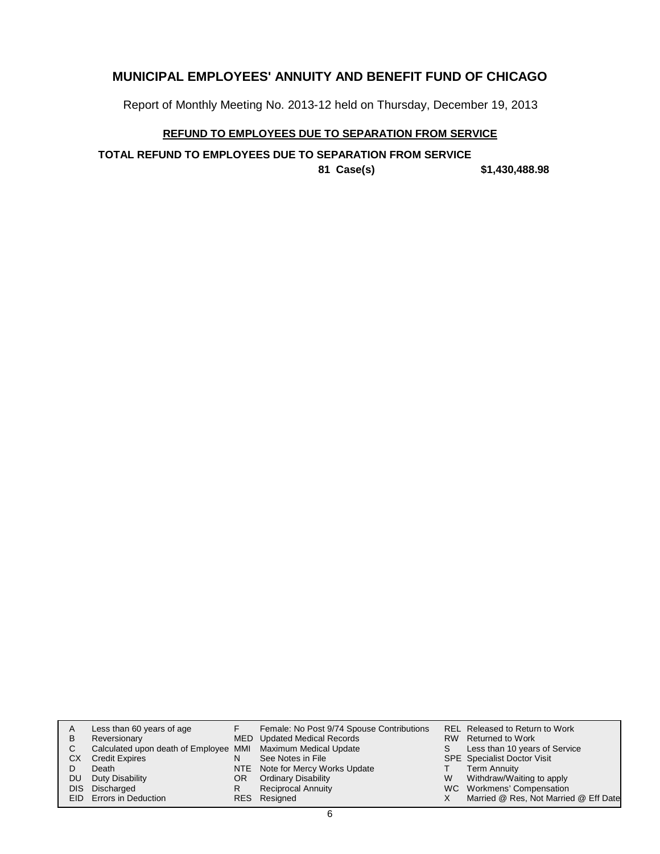Report of Monthly Meeting No. 2013-12 held on Thursday, December 19, 2013

### **REFUND TO EMPLOYEES DUE TO SEPARATION FROM SERVICE**

**TOTAL REFUND TO EMPLOYEES DUE TO SEPARATION FROM SERVICE**

**81 Case(s) \$1,430,488.98**

| A |      | Less than 60 years of age                                    |    | Female: No Post 9/74 Spouse Contributions |    | REL Released to Return to Work        |
|---|------|--------------------------------------------------------------|----|-------------------------------------------|----|---------------------------------------|
| В |      | Reversionary                                                 |    | MED Updated Medical Records               |    | RW Returned to Work                   |
| С |      | Calculated upon death of Employee MMI Maximum Medical Update |    |                                           | S. | Less than 10 years of Service         |
|   | СX   | <b>Credit Expires</b>                                        | N  | See Notes in File                         |    | <b>SPE</b> Specialist Doctor Visit    |
|   |      | Death                                                        |    | NTE Note for Mercy Works Update           |    | <b>Term Annuity</b>                   |
|   | DU   | Duty Disability                                              | OR | <b>Ordinary Disability</b>                | W  | Withdraw/Waiting to apply             |
|   | DIS. | Discharged                                                   | R  | <b>Reciprocal Annuity</b>                 |    | WC Workmens' Compensation             |
|   |      | EID Errors in Deduction                                      |    | RES Resigned                              |    | Married @ Res, Not Married @ Eff Date |
|   |      |                                                              |    |                                           |    |                                       |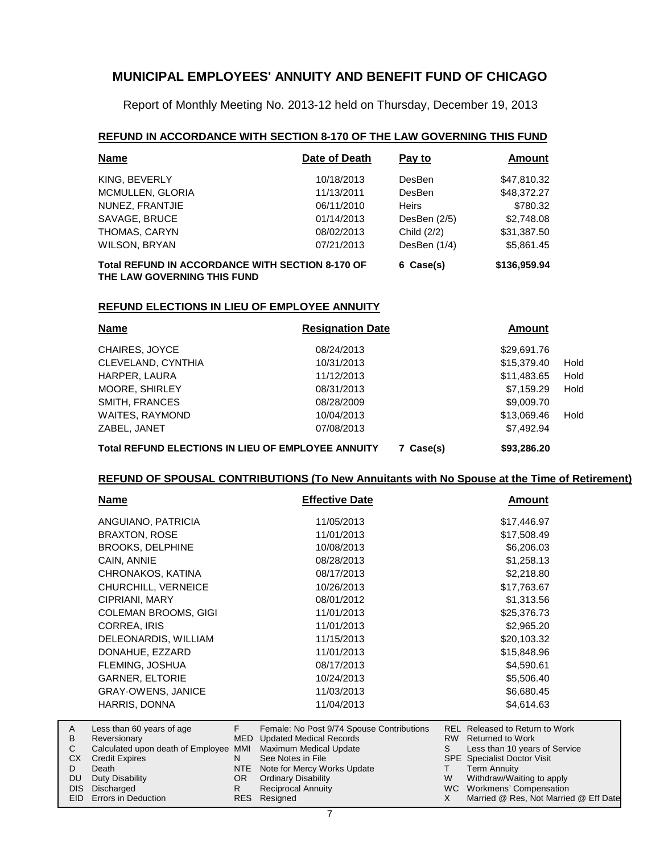Report of Monthly Meeting No. 2013-12 held on Thursday, December 19, 2013

### **REFUND IN ACCORDANCE WITH SECTION 8-170 OF THE LAW GOVERNING THIS FUND**

| <b>Name</b>                                             | Date of Death | Pay to       | Amount       |  |
|---------------------------------------------------------|---------------|--------------|--------------|--|
| KING, BEVERLY                                           | 10/18/2013    | DesBen       | \$47,810.32  |  |
| MCMULLEN, GLORIA                                        | 11/13/2011    | DesBen       | \$48,372.27  |  |
| NUNEZ, FRANTJIE                                         | 06/11/2010    | <b>Heirs</b> | \$780.32     |  |
| SAVAGE, BRUCE                                           | 01/14/2013    | DesBen (2/5) | \$2,748.08   |  |
| THOMAS, CARYN                                           | 08/02/2013    | Child (2/2)  | \$31,387.50  |  |
| WILSON, BRYAN                                           | 07/21/2013    | DesBen (1/4) | \$5,861.45   |  |
| <b>Total REFUND IN ACCORDANCE WITH SECTION 8-170 OF</b> |               | 6 Case(s)    | \$136,959.94 |  |

**THE LAW GOVERNING THIS FUND**

#### **REFUND ELECTIONS IN LIEU OF EMPLOYEE ANNUITY**

| <b>Name</b>                                               | <b>Resignation Date</b> | <b>Amount</b> |      |
|-----------------------------------------------------------|-------------------------|---------------|------|
| CHAIRES, JOYCE                                            | 08/24/2013              | \$29,691.76   |      |
| CLEVELAND, CYNTHIA                                        | 10/31/2013              | \$15,379.40   | Hold |
| HARPER, LAURA                                             | 11/12/2013              | \$11,483.65   | Hold |
| <b>MOORE, SHIRLEY</b>                                     | 08/31/2013              | \$7.159.29    | Hold |
| SMITH, FRANCES                                            | 08/28/2009              | \$9,009.70    |      |
| <b>WAITES, RAYMOND</b>                                    | 10/04/2013              | \$13,069.46   | Hold |
| ZABEL, JANET                                              | 07/08/2013              | \$7,492.94    |      |
| <b>Total REFUND ELECTIONS IN LIEU OF EMPLOYEE ANNUITY</b> | 7 Case(s)               | \$93,286.20   |      |

### **REFUND OF SPOUSAL CONTRIBUTIONS (To New Annuitants with No Spouse at the Time of Retirement)**

| Name                           | <b>Effective Date</b>                     | Amount                                |
|--------------------------------|-------------------------------------------|---------------------------------------|
| ANGUIANO, PATRICIA             | 11/05/2013                                | \$17,446.97                           |
| <b>BRAXTON, ROSE</b>           | 11/01/2013                                | \$17,508.49                           |
| <b>BROOKS, DELPHINE</b>        | 10/08/2013                                | \$6,206.03                            |
| CAIN, ANNIE                    | 08/28/2013                                | \$1,258.13                            |
| CHRONAKOS, KATINA              | 08/17/2013                                | \$2,218.80                            |
| CHURCHILL, VERNEICE            | 10/26/2013                                | \$17,763.67                           |
| CIPRIANI, MARY                 | 08/01/2012                                | \$1,313.56                            |
| <b>COLEMAN BROOMS, GIGI</b>    | 11/01/2013                                | \$25,376.73                           |
| CORREA, IRIS                   | 11/01/2013                                | \$2,965.20                            |
| DELEONARDIS, WILLIAM           | 11/15/2013                                | \$20,103.32                           |
| DONAHUE, EZZARD                | 11/01/2013                                | \$15,848.96                           |
| FLEMING, JOSHUA                | 08/17/2013                                | \$4,590.61                            |
| <b>GARNER, ELTORIE</b>         | 10/24/2013                                | \$5,506.40                            |
| <b>GRAY-OWENS, JANICE</b>      | 11/03/2013                                | \$6,680.45                            |
| HARRIS, DONNA                  | 11/04/2013                                | \$4,614.63                            |
| Е.<br>occ than 60 voors of 200 | Eamala: No Post 0/74 Spouse Contributions | <b>DEI</b> Pologood to Poturn to Work |

| A   | Less than 60 years of age                                    |     | Female: No Post 9/74 Spouse Contributions |   | REL Released to Return to Work        |
|-----|--------------------------------------------------------------|-----|-------------------------------------------|---|---------------------------------------|
| B   | Reversionary                                                 |     | MED Updated Medical Records               |   | RW Returned to Work                   |
| C.  | Calculated upon death of Employee MMI Maximum Medical Update |     |                                           |   | Less than 10 years of Service         |
| CX. | <b>Credit Expires</b>                                        |     | See Notes in File                         |   | <b>SPE</b> Specialist Doctor Visit    |
| D   | Death                                                        |     | NTE Note for Mercy Works Update           |   | <b>Term Annuity</b>                   |
| DU. | Duty Disability                                              | OR. | <b>Ordinary Disability</b>                | W | Withdraw/Waiting to apply             |
|     | DIS Discharged                                               |     | <b>Reciprocal Annuity</b>                 |   | WC Workmens' Compensation             |
|     | EID Errors in Deduction                                      |     | RES Resigned                              |   | Married @ Res, Not Married @ Eff Date |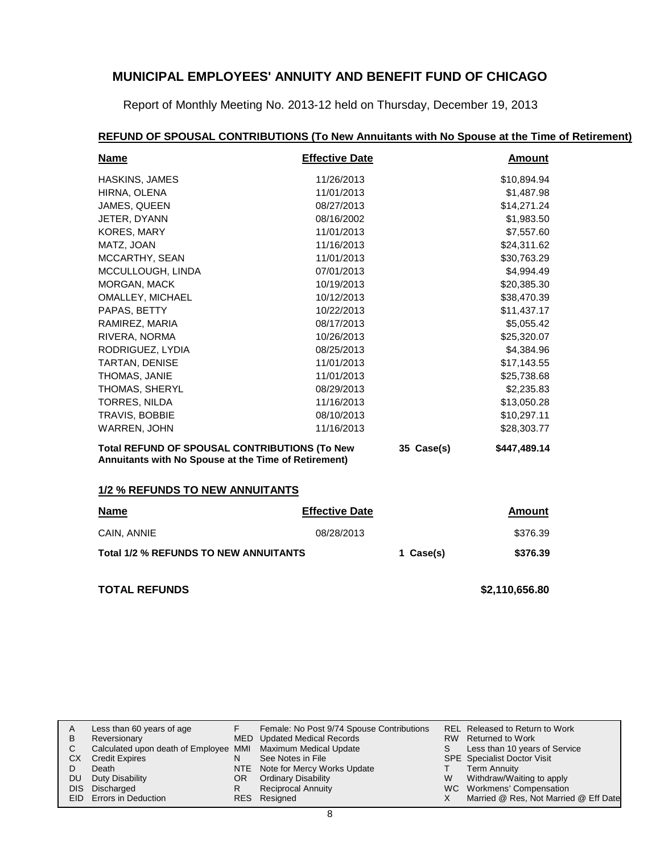Report of Monthly Meeting No. 2013-12 held on Thursday, December 19, 2013

| <b>Name</b>                                                                                           | <b>Effective Date</b> |            | <b>Amount</b>  |
|-------------------------------------------------------------------------------------------------------|-----------------------|------------|----------------|
| <b>HASKINS, JAMES</b>                                                                                 | 11/26/2013            |            | \$10,894.94    |
| HIRNA, OLENA                                                                                          | 11/01/2013            |            | \$1,487.98     |
| JAMES, QUEEN                                                                                          | 08/27/2013            |            | \$14,271.24    |
| JETER, DYANN                                                                                          | 08/16/2002            |            | \$1,983.50     |
| KORES, MARY                                                                                           | 11/01/2013            |            | \$7,557.60     |
| MATZ, JOAN                                                                                            | 11/16/2013            |            | \$24,311.62    |
| MCCARTHY, SEAN                                                                                        | 11/01/2013            |            | \$30,763.29    |
| MCCULLOUGH, LINDA                                                                                     | 07/01/2013            |            | \$4,994.49     |
| MORGAN, MACK                                                                                          | 10/19/2013            |            | \$20,385.30    |
| <b>OMALLEY, MICHAEL</b>                                                                               | 10/12/2013            |            | \$38,470.39    |
| PAPAS, BETTY                                                                                          | 10/22/2013            |            | \$11,437.17    |
| RAMIREZ, MARIA                                                                                        | 08/17/2013            |            | \$5,055.42     |
| RIVERA, NORMA                                                                                         | 10/26/2013            |            | \$25,320.07    |
| RODRIGUEZ, LYDIA                                                                                      | 08/25/2013            |            | \$4,384.96     |
| TARTAN, DENISE                                                                                        | 11/01/2013            |            | \$17,143.55    |
| THOMAS, JANIE                                                                                         | 11/01/2013            |            | \$25,738.68    |
| THOMAS, SHERYL                                                                                        | 08/29/2013            |            | \$2,235.83     |
| <b>TORRES, NILDA</b>                                                                                  | 11/16/2013            |            | \$13,050.28    |
| TRAVIS, BOBBIE                                                                                        | 08/10/2013            |            | \$10,297.11    |
| WARREN, JOHN                                                                                          | 11/16/2013            |            | \$28,303.77    |
| Total REFUND OF SPOUSAL CONTRIBUTIONS (To New<br>Annuitants with No Spouse at the Time of Retirement) |                       | 35 Case(s) | \$447,489.14   |
| 1/2 % REFUNDS TO NEW ANNUITANTS                                                                       |                       |            |                |
| <b>Name</b>                                                                                           | <b>Effective Date</b> |            | <b>Amount</b>  |
| CAIN, ANNIE                                                                                           | 08/28/2013            |            | \$376.39       |
| <b>Total 1/2 % REFUNDS TO NEW ANNUITANTS</b>                                                          |                       | 1 Case(s)  | \$376.39       |
| <b>TOTAL REFUNDS</b>                                                                                  |                       |            | \$2,110,656.80 |

### **REFUND OF SPOUSAL CONTRIBUTIONS (To New Annuitants with No Spouse at the Time of Retirement)**

| A  | Less than 60 years of age                                    |     | Female: No Post 9/74 Spouse Contributions |    | <b>REL Released to Return to Work</b> |
|----|--------------------------------------------------------------|-----|-------------------------------------------|----|---------------------------------------|
| В  | Reversionary                                                 |     | MED Updated Medical Records               |    | RW Returned to Work                   |
| C. | Calculated upon death of Employee MMI Maximum Medical Update |     |                                           | S. | Less than 10 years of Service         |
|    | <b>CX</b> Credit Expires                                     | N   | See Notes in File                         |    | SPE Specialist Doctor Visit           |
|    | Death                                                        |     | NTE Note for Mercy Works Update           |    | Term Annuity                          |
|    | DU Duty Disability                                           | OR. | <b>Ordinary Disability</b>                | W  | Withdraw/Waiting to apply             |
|    | DIS Discharged                                               | R   | <b>Reciprocal Annuity</b>                 |    | WC Workmens' Compensation             |
|    | <b>EID</b> Errors in Deduction                               |     | RES Resigned                              |    | Married @ Res, Not Married @ Eff Date |
|    |                                                              |     |                                           |    |                                       |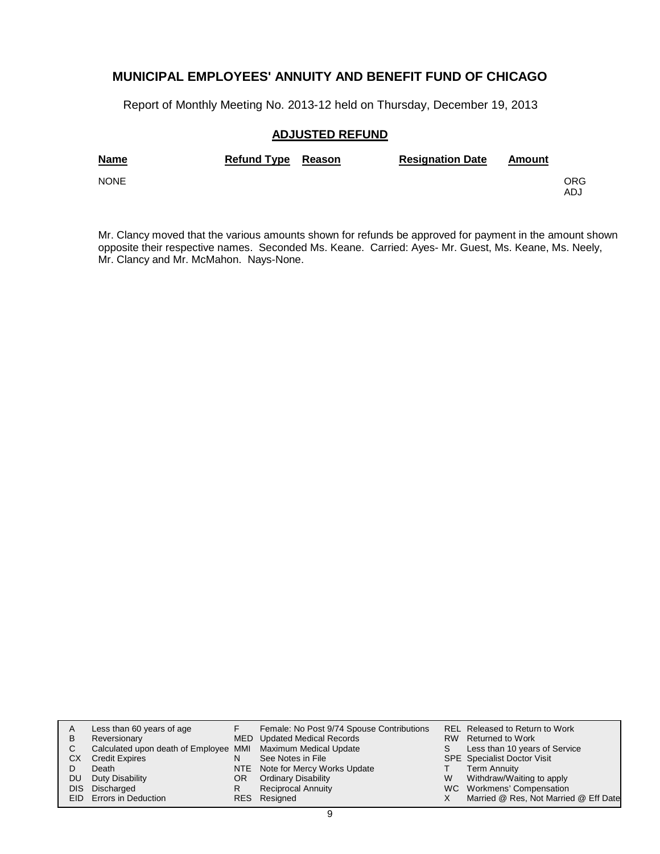Report of Monthly Meeting No. 2013-12 held on Thursday, December 19, 2013

### **ADJUSTED REFUND**

| <b>Name</b> | Refund Type Reason | <b>Resignation Date</b> | Amount |            |
|-------------|--------------------|-------------------------|--------|------------|
| <b>NONE</b> |                    |                         |        | ORG<br>ADJ |

Mr. Clancy moved that the various amounts shown for refunds be approved for payment in the amount shown opposite their respective names. Seconded Ms. Keane. Carried: Ayes- Mr. Guest, Ms. Keane, Ms. Neely, Mr. Clancy and Mr. McMahon. Nays-None.

|      | Less than 60 years of age                                    |    | Female: No Post 9/74 Spouse Contributions |   | REL Released to Return to Work        |
|------|--------------------------------------------------------------|----|-------------------------------------------|---|---------------------------------------|
| в    | Reversionary                                                 |    | MED Updated Medical Records               |   | RW Returned to Work                   |
| С    | Calculated upon death of Employee MMI Maximum Medical Update |    |                                           | S | Less than 10 years of Service         |
| CХ   | <b>Credit Expires</b>                                        | N  | See Notes in File                         |   | <b>SPE</b> Specialist Doctor Visit    |
|      | Death                                                        |    | NTE Note for Mercy Works Update           |   | <b>Term Annuity</b>                   |
| DU   | Duty Disability                                              | OR | <b>Ordinary Disability</b>                | W | Withdraw/Waiting to apply             |
| DIS. | Discharged                                                   | R  | <b>Reciprocal Annuity</b>                 |   | WC Workmens' Compensation             |
|      | <b>EID</b> Errors in Deduction                               |    | RES Resigned                              |   | Married @ Res, Not Married @ Eff Date |
|      |                                                              |    |                                           |   |                                       |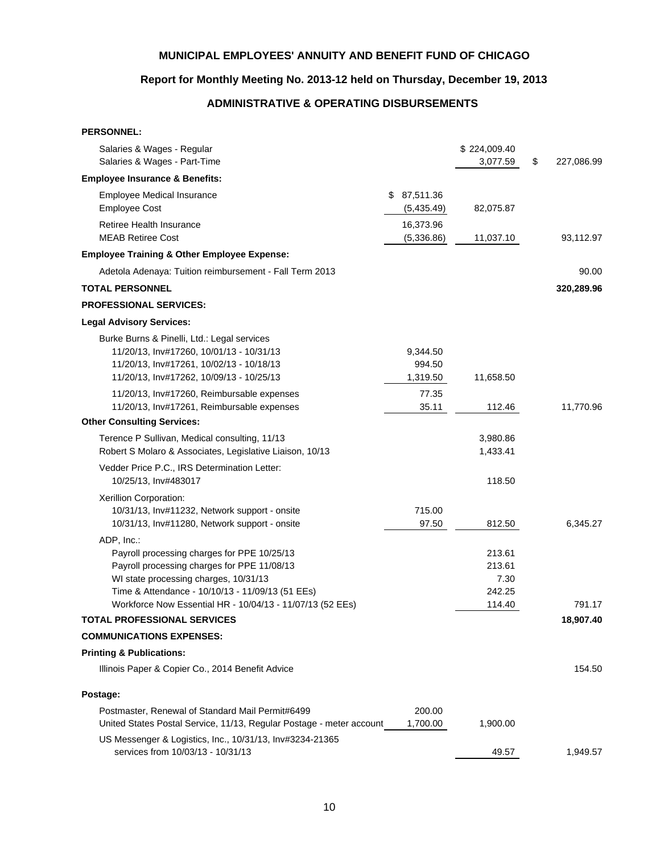### **Report for Monthly Meeting No. 2013-12 held on Thursday, December 19, 2013**

# **ADMINISTRATIVE & OPERATING DISBURSEMENTS**

| <b>PERSONNEL:</b>                                                                                                                                                                                                                                                  |                                |                                              |                  |
|--------------------------------------------------------------------------------------------------------------------------------------------------------------------------------------------------------------------------------------------------------------------|--------------------------------|----------------------------------------------|------------------|
| Salaries & Wages - Regular<br>Salaries & Wages - Part-Time                                                                                                                                                                                                         |                                | \$224,009.40<br>3,077.59                     | \$<br>227,086.99 |
| <b>Employee Insurance &amp; Benefits:</b>                                                                                                                                                                                                                          |                                |                                              |                  |
| <b>Employee Medical Insurance</b><br><b>Employee Cost</b>                                                                                                                                                                                                          | \$<br>87,511.36<br>(5,435.49)  | 82,075.87                                    |                  |
| Retiree Health Insurance<br><b>MEAB Retiree Cost</b>                                                                                                                                                                                                               | 16,373.96<br>(5,336.86)        | 11,037.10                                    | 93,112.97        |
| <b>Employee Training &amp; Other Employee Expense:</b>                                                                                                                                                                                                             |                                |                                              |                  |
| Adetola Adenaya: Tuition reimbursement - Fall Term 2013                                                                                                                                                                                                            |                                |                                              | 90.00            |
| <b>TOTAL PERSONNEL</b>                                                                                                                                                                                                                                             |                                |                                              | 320,289.96       |
| <b>PROFESSIONAL SERVICES:</b>                                                                                                                                                                                                                                      |                                |                                              |                  |
| <b>Legal Advisory Services:</b>                                                                                                                                                                                                                                    |                                |                                              |                  |
| Burke Burns & Pinelli, Ltd.: Legal services<br>11/20/13, Inv#17260, 10/01/13 - 10/31/13<br>11/20/13, Inv#17261, 10/02/13 - 10/18/13<br>11/20/13, Inv#17262, 10/09/13 - 10/25/13                                                                                    | 9,344.50<br>994.50<br>1,319.50 | 11,658.50                                    |                  |
| 11/20/13, Inv#17260, Reimbursable expenses<br>11/20/13, Inv#17261, Reimbursable expenses                                                                                                                                                                           | 77.35<br>35.11                 | 112.46                                       | 11,770.96        |
| <b>Other Consulting Services:</b>                                                                                                                                                                                                                                  |                                |                                              |                  |
| Terence P Sullivan, Medical consulting, 11/13<br>Robert S Molaro & Associates, Legislative Liaison, 10/13                                                                                                                                                          |                                | 3,980.86<br>1,433.41                         |                  |
| Vedder Price P.C., IRS Determination Letter:<br>10/25/13, Inv#483017                                                                                                                                                                                               |                                | 118.50                                       |                  |
| Xerillion Corporation:<br>10/31/13, Inv#11232, Network support - onsite<br>10/31/13, Inv#11280, Network support - onsite                                                                                                                                           | 715.00<br>97.50                | 812.50                                       | 6,345.27         |
| ADP, Inc.:<br>Payroll processing charges for PPE 10/25/13<br>Payroll processing charges for PPE 11/08/13<br>WI state processing charges, 10/31/13<br>Time & Attendance - 10/10/13 - 11/09/13 (51 EEs)<br>Workforce Now Essential HR - 10/04/13 - 11/07/13 (52 EEs) |                                | 213.61<br>213.61<br>7.30<br>242.25<br>114.40 | 791.17           |
| <b>TOTAL PROFESSIONAL SERVICES</b>                                                                                                                                                                                                                                 |                                |                                              | 18,907.40        |
| <b>COMMUNICATIONS EXPENSES:</b>                                                                                                                                                                                                                                    |                                |                                              |                  |
| <b>Printing &amp; Publications:</b>                                                                                                                                                                                                                                |                                |                                              |                  |
| Illinois Paper & Copier Co., 2014 Benefit Advice                                                                                                                                                                                                                   |                                |                                              | 154.50           |
| Postage:                                                                                                                                                                                                                                                           |                                |                                              |                  |
| Postmaster, Renewal of Standard Mail Permit#6499<br>United States Postal Service, 11/13, Regular Postage - meter account                                                                                                                                           | 200.00<br>1,700.00             | 1,900.00                                     |                  |
| US Messenger & Logistics, Inc., 10/31/13, Inv#3234-21365<br>services from 10/03/13 - 10/31/13                                                                                                                                                                      |                                | 49.57                                        | 1,949.57         |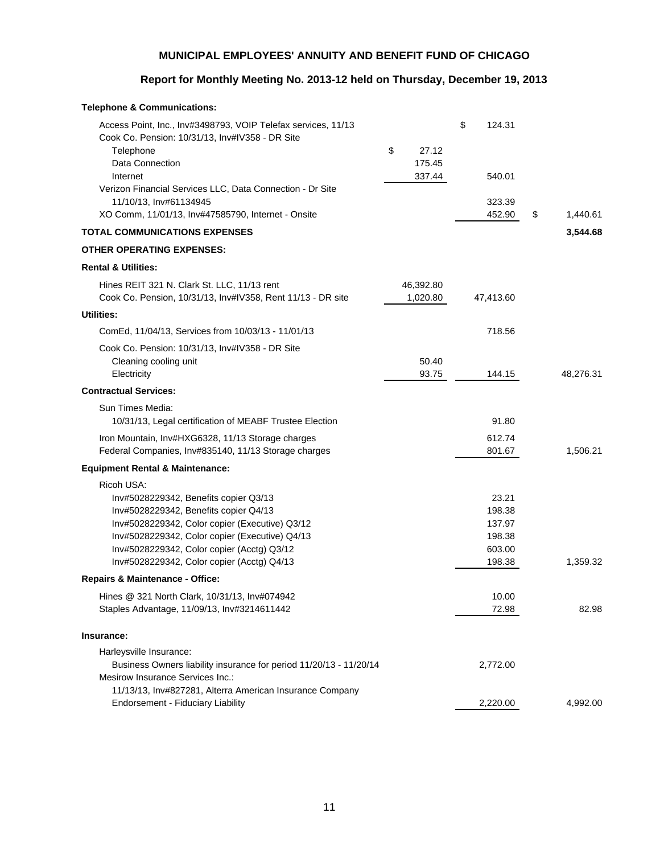### **Report for Monthly Meeting No. 2013-12 held on Thursday, December 19, 2013**

| <b>Telephone &amp; Communications:</b>                                                                                                                                                                                                                                                       |                                 |                                                         |                |
|----------------------------------------------------------------------------------------------------------------------------------------------------------------------------------------------------------------------------------------------------------------------------------------------|---------------------------------|---------------------------------------------------------|----------------|
| Access Point, Inc., Inv#3498793, VOIP Telefax services, 11/13<br>Cook Co. Pension: 10/31/13, Inv#IV358 - DR Site<br>Telephone<br>Data Connection<br>Internet<br>Verizon Financial Services LLC, Data Connection - Dr Site                                                                    | \$<br>27.12<br>175.45<br>337.44 | \$<br>124.31<br>540.01                                  |                |
| 11/10/13, Inv#61134945                                                                                                                                                                                                                                                                       |                                 | 323.39                                                  |                |
| XO Comm, 11/01/13, Inv#47585790, Internet - Onsite                                                                                                                                                                                                                                           |                                 | 452.90                                                  | \$<br>1,440.61 |
| <b>TOTAL COMMUNICATIONS EXPENSES</b>                                                                                                                                                                                                                                                         |                                 |                                                         | 3,544.68       |
| <b>OTHER OPERATING EXPENSES:</b>                                                                                                                                                                                                                                                             |                                 |                                                         |                |
| <b>Rental &amp; Utilities:</b>                                                                                                                                                                                                                                                               |                                 |                                                         |                |
| Hines REIT 321 N. Clark St. LLC, 11/13 rent<br>Cook Co. Pension, 10/31/13, Inv#IV358, Rent 11/13 - DR site                                                                                                                                                                                   | 46,392.80<br>1,020.80           | 47,413.60                                               |                |
| <b>Utilities:</b>                                                                                                                                                                                                                                                                            |                                 |                                                         |                |
| ComEd, 11/04/13, Services from 10/03/13 - 11/01/13                                                                                                                                                                                                                                           |                                 | 718.56                                                  |                |
| Cook Co. Pension: 10/31/13, Inv#IV358 - DR Site<br>Cleaning cooling unit<br>Electricity                                                                                                                                                                                                      | 50.40<br>93.75                  | 144.15                                                  | 48,276.31      |
| <b>Contractual Services:</b>                                                                                                                                                                                                                                                                 |                                 |                                                         |                |
| Sun Times Media:<br>10/31/13, Legal certification of MEABF Trustee Election                                                                                                                                                                                                                  |                                 | 91.80                                                   |                |
| Iron Mountain, Inv#HXG6328, 11/13 Storage charges<br>Federal Companies, Inv#835140, 11/13 Storage charges                                                                                                                                                                                    |                                 | 612.74<br>801.67                                        | 1,506.21       |
| <b>Equipment Rental &amp; Maintenance:</b>                                                                                                                                                                                                                                                   |                                 |                                                         |                |
| Ricoh USA:<br>Inv#5028229342, Benefits copier Q3/13<br>Inv#5028229342, Benefits copier Q4/13<br>Inv#5028229342, Color copier (Executive) Q3/12<br>Inv#5028229342, Color copier (Executive) Q4/13<br>Inv#5028229342, Color copier (Acctg) Q3/12<br>Inv#5028229342, Color copier (Acctg) Q4/13 |                                 | 23.21<br>198.38<br>137.97<br>198.38<br>603.00<br>198.38 | 1,359.32       |
| <b>Repairs &amp; Maintenance - Office:</b>                                                                                                                                                                                                                                                   |                                 |                                                         |                |
| Hines @ 321 North Clark, 10/31/13, Inv#074942<br>Staples Advantage, 11/09/13, Inv#3214611442                                                                                                                                                                                                 |                                 | 10.00<br>72.98                                          | 82.98          |
| Insurance:                                                                                                                                                                                                                                                                                   |                                 |                                                         |                |
| Harleysville Insurance:<br>Business Owners liability insurance for period 11/20/13 - 11/20/14<br>Mesirow Insurance Services Inc.:                                                                                                                                                            |                                 | 2,772.00                                                |                |
| 11/13/13, Inv#827281, Alterra American Insurance Company<br><b>Endorsement - Fiduciary Liability</b>                                                                                                                                                                                         |                                 | 2,220.00                                                | 4,992.00       |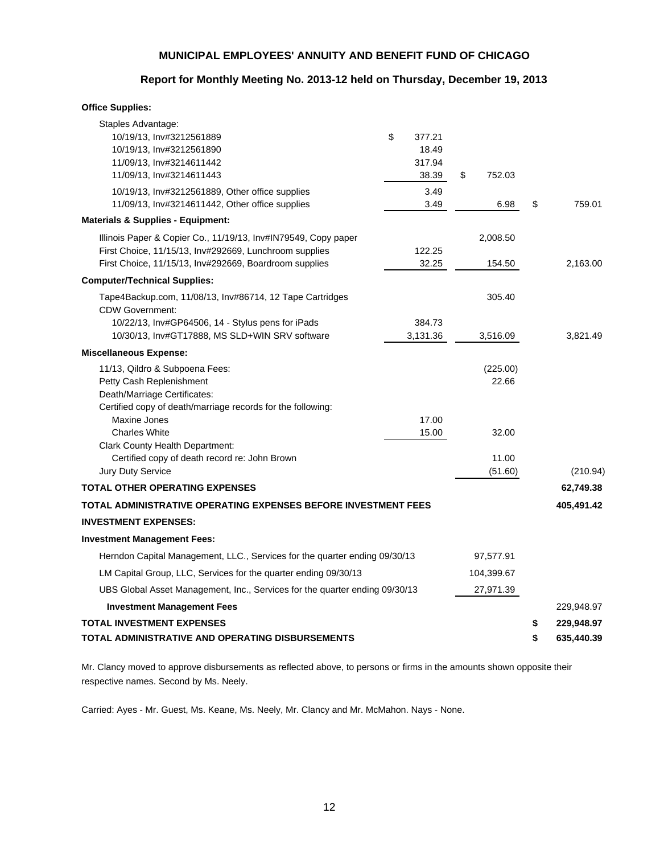### **Report for Monthly Meeting No. 2013-12 held on Thursday, December 19, 2013**

#### **Office Supplies:**

| Staples Advantage:                                                                            |              |              |                  |
|-----------------------------------------------------------------------------------------------|--------------|--------------|------------------|
| 10/19/13, Inv#3212561889                                                                      | \$<br>377.21 |              |                  |
| 10/19/13, Inv#3212561890                                                                      | 18.49        |              |                  |
| 11/09/13, Inv#3214611442                                                                      | 317.94       |              |                  |
| 11/09/13, Inv#3214611443                                                                      | 38.39        | \$<br>752.03 |                  |
| 10/19/13, Inv#3212561889, Other office supplies                                               | 3.49         |              |                  |
| 11/09/13, Inv#3214611442, Other office supplies                                               | 3.49         | 6.98         | \$<br>759.01     |
| <b>Materials &amp; Supplies - Equipment:</b>                                                  |              |              |                  |
| Illinois Paper & Copier Co., 11/19/13, Inv#IN79549, Copy paper                                |              | 2,008.50     |                  |
| First Choice, 11/15/13, Inv#292669, Lunchroom supplies                                        | 122.25       |              |                  |
| First Choice, 11/15/13, Inv#292669, Boardroom supplies                                        | 32.25        | 154.50       | 2,163.00         |
| <b>Computer/Technical Supplies:</b>                                                           |              |              |                  |
| Tape4Backup.com, 11/08/13, Inv#86714, 12 Tape Cartridges<br><b>CDW Government:</b>            |              | 305.40       |                  |
| 10/22/13, Inv#GP64506, 14 - Stylus pens for iPads                                             | 384.73       |              |                  |
| 10/30/13, Inv#GT17888, MS SLD+WIN SRV software                                                | 3,131.36     | 3,516.09     | 3,821.49         |
| <b>Miscellaneous Expense:</b>                                                                 |              |              |                  |
| 11/13, Qildro & Subpoena Fees:                                                                |              | (225.00)     |                  |
| Petty Cash Replenishment                                                                      |              | 22.66        |                  |
| Death/Marriage Certificates:                                                                  |              |              |                  |
| Certified copy of death/marriage records for the following:                                   |              |              |                  |
| Maxine Jones                                                                                  | 17.00        |              |                  |
| <b>Charles White</b>                                                                          | 15.00        | 32.00        |                  |
| <b>Clark County Health Department:</b>                                                        |              |              |                  |
| Certified copy of death record re: John Brown<br>Jury Duty Service                            |              | 11.00        |                  |
|                                                                                               |              | (51.60)      | (210.94)         |
| TOTAL OTHER OPERATING EXPENSES                                                                |              |              | 62,749.38        |
| TOTAL ADMINISTRATIVE OPERATING EXPENSES BEFORE INVESTMENT FEES<br><b>INVESTMENT EXPENSES:</b> |              |              | 405,491.42       |
|                                                                                               |              |              |                  |
| <b>Investment Management Fees:</b>                                                            |              |              |                  |
| Herndon Capital Management, LLC., Services for the quarter ending 09/30/13                    |              | 97,577.91    |                  |
| LM Capital Group, LLC, Services for the quarter ending 09/30/13                               |              | 104,399.67   |                  |
| UBS Global Asset Management, Inc., Services for the quarter ending 09/30/13                   |              | 27,971.39    |                  |
| <b>Investment Management Fees</b>                                                             |              |              | 229,948.97       |
| TOTAL INVESTMENT EXPENSES                                                                     |              |              | \$<br>229,948.97 |
| TOTAL ADMINISTRATIVE AND OPERATING DISBURSEMENTS                                              |              |              | \$<br>635,440.39 |

Mr. Clancy moved to approve disbursements as reflected above, to persons or firms in the amounts shown opposite their respective names. Second by Ms. Neely.

Carried: Ayes - Mr. Guest, Ms. Keane, Ms. Neely, Mr. Clancy and Mr. McMahon. Nays - None.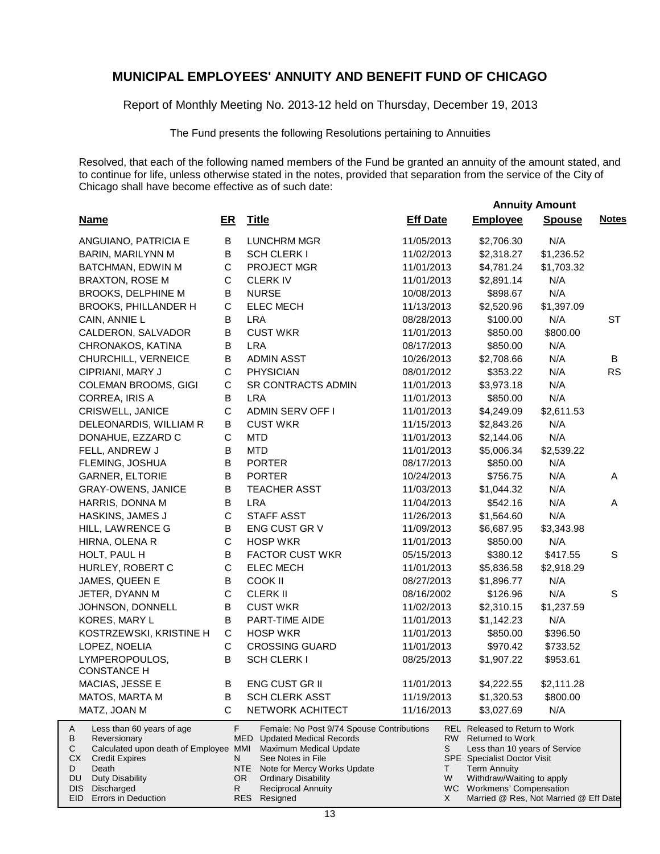Report of Monthly Meeting No. 2013-12 held on Thursday, December 19, 2013

The Fund presents the following Resolutions pertaining to Annuities

Resolved, that each of the following named members of the Fund be granted an annuity of the amount stated, and to continue for life, unless otherwise stated in the notes, provided that separation from the service of the City of Chicago shall have become effective as of such date:

|                                                                                                                                                                                                                                   |                     |                                                                                                                                                                                                                                                             |                   | <b>Annuity Amount</b>                                                                                                                                                                                                                                  |               |              |
|-----------------------------------------------------------------------------------------------------------------------------------------------------------------------------------------------------------------------------------|---------------------|-------------------------------------------------------------------------------------------------------------------------------------------------------------------------------------------------------------------------------------------------------------|-------------------|--------------------------------------------------------------------------------------------------------------------------------------------------------------------------------------------------------------------------------------------------------|---------------|--------------|
| <b>Name</b>                                                                                                                                                                                                                       | ER                  | <b>Title</b>                                                                                                                                                                                                                                                | <b>Eff Date</b>   | <b>Employee</b>                                                                                                                                                                                                                                        | <b>Spouse</b> | <b>Notes</b> |
| ANGUIANO, PATRICIA E                                                                                                                                                                                                              | В                   | LUNCHRM MGR                                                                                                                                                                                                                                                 | 11/05/2013        | \$2,706.30                                                                                                                                                                                                                                             | N/A           |              |
| BARIN, MARILYNN M                                                                                                                                                                                                                 | В                   | <b>SCH CLERK I</b>                                                                                                                                                                                                                                          | 11/02/2013        | \$2,318.27                                                                                                                                                                                                                                             | \$1,236.52    |              |
| BATCHMAN, EDWIN M                                                                                                                                                                                                                 | C                   | PROJECT MGR                                                                                                                                                                                                                                                 | 11/01/2013        | \$4,781.24                                                                                                                                                                                                                                             | \$1,703.32    |              |
| <b>BRAXTON, ROSE M</b>                                                                                                                                                                                                            | C                   | <b>CLERKIV</b>                                                                                                                                                                                                                                              | 11/01/2013        | \$2,891.14                                                                                                                                                                                                                                             | N/A           |              |
| BROOKS, DELPHINE M                                                                                                                                                                                                                | B                   | <b>NURSE</b>                                                                                                                                                                                                                                                | 10/08/2013        | \$898.67                                                                                                                                                                                                                                               | N/A           |              |
| BROOKS, PHILLANDER H                                                                                                                                                                                                              | C                   | <b>ELEC MECH</b>                                                                                                                                                                                                                                            | 11/13/2013        | \$2,520.96                                                                                                                                                                                                                                             | \$1,397.09    |              |
| CAIN, ANNIE L                                                                                                                                                                                                                     | B                   | <b>LRA</b>                                                                                                                                                                                                                                                  | 08/28/2013        | \$100.00                                                                                                                                                                                                                                               | N/A           | <b>ST</b>    |
| CALDERON, SALVADOR                                                                                                                                                                                                                | В                   | <b>CUST WKR</b>                                                                                                                                                                                                                                             | 11/01/2013        | \$850.00                                                                                                                                                                                                                                               | \$800.00      |              |
| CHRONAKOS, KATINA                                                                                                                                                                                                                 | B                   | <b>LRA</b>                                                                                                                                                                                                                                                  | 08/17/2013        | \$850.00                                                                                                                                                                                                                                               | N/A           |              |
| CHURCHILL, VERNEICE                                                                                                                                                                                                               | В                   | <b>ADMIN ASST</b>                                                                                                                                                                                                                                           | 10/26/2013        | \$2,708.66                                                                                                                                                                                                                                             | N/A           | B            |
| CIPRIANI, MARY J                                                                                                                                                                                                                  | C                   | <b>PHYSICIAN</b>                                                                                                                                                                                                                                            | 08/01/2012        | \$353.22                                                                                                                                                                                                                                               | N/A           | <b>RS</b>    |
| COLEMAN BROOMS, GIGI                                                                                                                                                                                                              | $\mathbf C$         | SR CONTRACTS ADMIN                                                                                                                                                                                                                                          | 11/01/2013        | \$3,973.18                                                                                                                                                                                                                                             | N/A           |              |
| CORREA, IRIS A                                                                                                                                                                                                                    | В                   | <b>LRA</b>                                                                                                                                                                                                                                                  | 11/01/2013        | \$850.00                                                                                                                                                                                                                                               | N/A           |              |
| CRISWELL, JANICE                                                                                                                                                                                                                  | $\mathbf C$         | <b>ADMIN SERV OFF I</b>                                                                                                                                                                                                                                     | 11/01/2013        | \$4,249.09                                                                                                                                                                                                                                             | \$2,611.53    |              |
| DELEONARDIS, WILLIAM R                                                                                                                                                                                                            | В                   | <b>CUST WKR</b>                                                                                                                                                                                                                                             | 11/15/2013        | \$2,843.26                                                                                                                                                                                                                                             | N/A           |              |
| DONAHUE, EZZARD C                                                                                                                                                                                                                 | С                   | <b>MTD</b>                                                                                                                                                                                                                                                  | 11/01/2013        | \$2,144.06                                                                                                                                                                                                                                             | N/A           |              |
| FELL, ANDREW J                                                                                                                                                                                                                    | В                   | <b>MTD</b>                                                                                                                                                                                                                                                  | 11/01/2013        | \$5,006.34                                                                                                                                                                                                                                             | \$2,539.22    |              |
| FLEMING, JOSHUA                                                                                                                                                                                                                   | B                   | <b>PORTER</b>                                                                                                                                                                                                                                               | 08/17/2013        | \$850.00                                                                                                                                                                                                                                               | N/A           |              |
| <b>GARNER, ELTORIE</b>                                                                                                                                                                                                            | В                   | <b>PORTER</b>                                                                                                                                                                                                                                               | 10/24/2013        | \$756.75                                                                                                                                                                                                                                               | N/A           | A            |
| <b>GRAY-OWENS, JANICE</b>                                                                                                                                                                                                         | В                   | <b>TEACHER ASST</b>                                                                                                                                                                                                                                         | 11/03/2013        | \$1,044.32                                                                                                                                                                                                                                             | N/A           |              |
| HARRIS, DONNA M                                                                                                                                                                                                                   | В                   | <b>LRA</b>                                                                                                                                                                                                                                                  | 11/04/2013        | \$542.16                                                                                                                                                                                                                                               | N/A           | A            |
| HASKINS, JAMES J                                                                                                                                                                                                                  | $\mathsf C$         | <b>STAFF ASST</b>                                                                                                                                                                                                                                           | 11/26/2013        | \$1,564.60                                                                                                                                                                                                                                             | N/A           |              |
| HILL, LAWRENCE G                                                                                                                                                                                                                  | В                   | ENG CUST GR V                                                                                                                                                                                                                                               | 11/09/2013        | \$6,687.95                                                                                                                                                                                                                                             | \$3,343.98    |              |
| HIRNA, OLENA R                                                                                                                                                                                                                    | $\mathbf C$         | <b>HOSP WKR</b>                                                                                                                                                                                                                                             | 11/01/2013        | \$850.00                                                                                                                                                                                                                                               | N/A           |              |
| HOLT, PAUL H                                                                                                                                                                                                                      | В                   | <b>FACTOR CUST WKR</b>                                                                                                                                                                                                                                      | 05/15/2013        | \$380.12                                                                                                                                                                                                                                               | \$417.55      | S            |
| HURLEY, ROBERT C                                                                                                                                                                                                                  | C                   | <b>ELEC MECH</b>                                                                                                                                                                                                                                            | 11/01/2013        | \$5,836.58                                                                                                                                                                                                                                             | \$2,918.29    |              |
| JAMES, QUEEN E                                                                                                                                                                                                                    | В                   | COOK II                                                                                                                                                                                                                                                     | 08/27/2013        | \$1,896.77                                                                                                                                                                                                                                             | N/A           |              |
| JETER, DYANN M                                                                                                                                                                                                                    | $\mathbf C$         | <b>CLERK II</b>                                                                                                                                                                                                                                             | 08/16/2002        | \$126.96                                                                                                                                                                                                                                               | N/A           | S            |
| JOHNSON, DONNELL                                                                                                                                                                                                                  | B                   | <b>CUST WKR</b>                                                                                                                                                                                                                                             | 11/02/2013        | \$2,310.15                                                                                                                                                                                                                                             | \$1,237.59    |              |
| KORES, MARY L                                                                                                                                                                                                                     | B                   | PART-TIME AIDE                                                                                                                                                                                                                                              | 11/01/2013        | \$1,142.23                                                                                                                                                                                                                                             | N/A           |              |
| KOSTRZEWSKI, KRISTINE H                                                                                                                                                                                                           | C                   | <b>HOSP WKR</b>                                                                                                                                                                                                                                             | 11/01/2013        | \$850.00                                                                                                                                                                                                                                               | \$396.50      |              |
| LOPEZ, NOELIA                                                                                                                                                                                                                     | C                   | <b>CROSSING GUARD</b>                                                                                                                                                                                                                                       | 11/01/2013        | \$970.42                                                                                                                                                                                                                                               | \$733.52      |              |
| LYMPEROPOULOS,<br><b>CONSTANCE H</b>                                                                                                                                                                                              | B                   | <b>SCH CLERK I</b>                                                                                                                                                                                                                                          | 08/25/2013        | \$1,907.22                                                                                                                                                                                                                                             | \$953.61      |              |
| MACIAS, JESSE E                                                                                                                                                                                                                   | В                   | ENG CUST GR II                                                                                                                                                                                                                                              | 11/01/2013        | \$4,222.55                                                                                                                                                                                                                                             | \$2,111.28    |              |
| MATOS, MARTA M                                                                                                                                                                                                                    | В                   | <b>SCH CLERK ASST</b>                                                                                                                                                                                                                                       | 11/19/2013        | \$1,320.53                                                                                                                                                                                                                                             | \$800.00      |              |
| MATZ, JOAN M                                                                                                                                                                                                                      | C                   | NETWORK ACHITECT                                                                                                                                                                                                                                            | 11/16/2013        | \$3,027.69                                                                                                                                                                                                                                             | N/A           |              |
| Less than 60 years of age<br>A<br>В<br>Reversionary<br>С<br>Calculated upon death of Employee MMI<br>СX<br><b>Credit Expires</b><br>D<br>Death<br>DU<br><b>Duty Disability</b><br>DIS<br>Discharged<br>EID<br>Errors in Deduction | F<br>N<br>OR.<br>R. | Female: No Post 9/74 Spouse Contributions<br><b>MED</b> Updated Medical Records<br>Maximum Medical Update<br>See Notes in File<br>NTE .<br>Note for Mercy Works Update<br><b>Ordinary Disability</b><br><b>Reciprocal Annuity</b><br><b>RES</b><br>Resigned | S<br>T.<br>W<br>X | <b>REL Released to Return to Work</b><br>RW Returned to Work<br>Less than 10 years of Service<br>SPE Specialist Doctor Visit<br><b>Term Annuity</b><br>Withdraw/Waiting to apply<br>WC Workmens' Compensation<br>Married @ Res, Not Married @ Eff Date |               |              |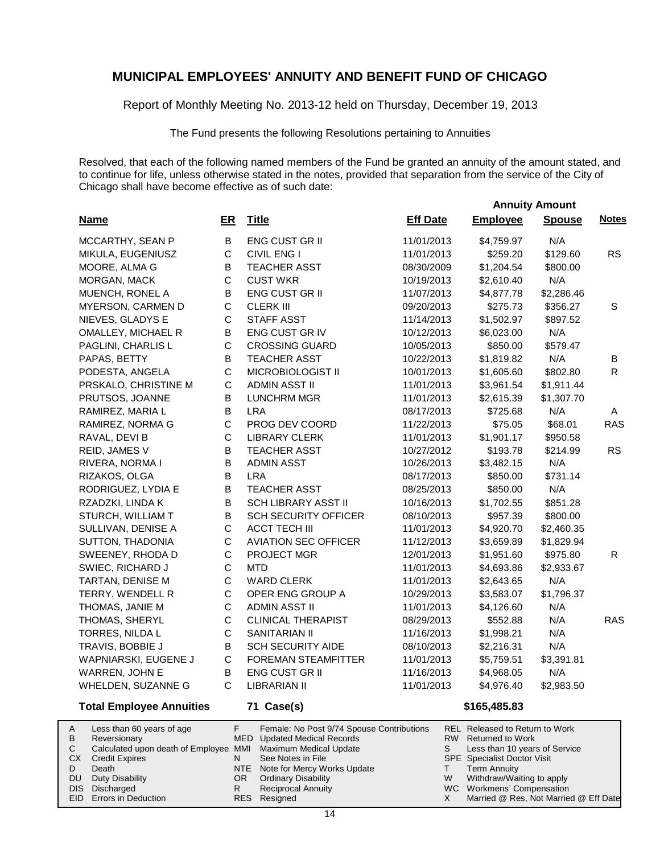Report of Monthly Meeting No. 2013-12 held on Thursday, December 19, 2013

The Fund presents the following Resolutions pertaining to Annuities

Resolved, that each of the following named members of the Fund be granted an annuity of the amount stated, and to continue for life, unless otherwise stated in the notes, provided that separation from the service of the City of Chicago shall have become effective as of such date:

|                                 |              |                             |                 |                 | <b>Annuity Amount</b> |              |
|---------------------------------|--------------|-----------------------------|-----------------|-----------------|-----------------------|--------------|
| <b>Name</b>                     | ER           | <b>Title</b>                | <b>Eff Date</b> | <b>Employee</b> | <b>Spouse</b>         | <b>Notes</b> |
| MCCARTHY, SEAN P                | B            | <b>ENG CUST GR II</b>       | 11/01/2013      | \$4,759.97      | N/A                   |              |
| MIKULA, EUGENIUSZ               | C            | <b>CIVIL ENG I</b>          | 11/01/2013      | \$259.20        | \$129.60              | <b>RS</b>    |
| MOORE, ALMA G                   | В            | <b>TEACHER ASST</b>         | 08/30/2009      | \$1,204.54      | \$800.00              |              |
| MORGAN, MACK                    | $\mathsf C$  | <b>CUST WKR</b>             | 10/19/2013      | \$2,610.40      | N/A                   |              |
| MUENCH, RONEL A                 | B            | <b>ENG CUST GR II</b>       | 11/07/2013      | \$4,877.78      | \$2,286.46            |              |
| MYERSON, CARMEN D               | C            | <b>CLERK III</b>            | 09/20/2013      | \$275.73        | \$356.27              | S            |
| NIEVES, GLADYS E                | C            | <b>STAFF ASST</b>           | 11/14/2013      | \$1,502.97      | \$897.52              |              |
| OMALLEY, MICHAEL R              | В            | ENG CUST GR IV              | 10/12/2013      | \$6,023.00      | N/A                   |              |
| PAGLINI, CHARLIS L              | $\mathsf{C}$ | <b>CROSSING GUARD</b>       | 10/05/2013      | \$850.00        | \$579.47              |              |
| PAPAS, BETTY                    | B            | <b>TEACHER ASST</b>         | 10/22/2013      | \$1,819.82      | N/A                   | В            |
| PODESTA, ANGELA                 | C            | MICROBIOLOGIST II           | 10/01/2013      | \$1,605.60      | \$802.80              | R.           |
| PRSKALO, CHRISTINE M            | C            | <b>ADMIN ASST II</b>        | 11/01/2013      | \$3,961.54      | \$1,911.44            |              |
| PRUTSOS, JOANNE                 | B            | <b>LUNCHRM MGR</b>          | 11/01/2013      | \$2,615.39      | \$1,307.70            |              |
| RAMIREZ, MARIA L                | B            | <b>LRA</b>                  | 08/17/2013      | \$725.68        | N/A                   | A            |
| RAMIREZ, NORMA G                | C            | PROG DEV COORD              | 11/22/2013      | \$75.05         | \$68.01               | <b>RAS</b>   |
| RAVAL, DEVI B                   | $\mathsf C$  | <b>LIBRARY CLERK</b>        | 11/01/2013      | \$1,901.17      | \$950.58              |              |
| REID, JAMES V                   | B            | <b>TEACHER ASST</b>         | 10/27/2012      | \$193.78        | \$214.99              | <b>RS</b>    |
| RIVERA, NORMA I                 | B            | <b>ADMIN ASST</b>           | 10/26/2013      | \$3,482.15      | N/A                   |              |
| RIZAKOS, OLGA                   | B            | <b>LRA</b>                  | 08/17/2013      | \$850.00        | \$731.14              |              |
| RODRIGUEZ, LYDIA E              | B            | <b>TEACHER ASST</b>         | 08/25/2013      | \$850.00        | N/A                   |              |
| RZADZKI, LINDA K                | B            | <b>SCH LIBRARY ASST II</b>  | 10/16/2013      | \$1,702.55      | \$851.28              |              |
| STURCH, WILLIAM T               | B            | <b>SCH SECURITY OFFICER</b> | 08/10/2013      | \$957.39        | \$800.00              |              |
| SULLIVAN, DENISE A              | C            | <b>ACCT TECH III</b>        | 11/01/2013      | \$4,920.70      | \$2,460.35            |              |
| SUTTON, THADONIA                | C            | <b>AVIATION SEC OFFICER</b> | 11/12/2013      | \$3,659.89      | \$1,829.94            |              |
| SWEENEY, RHODA D                | C            | <b>PROJECT MGR</b>          | 12/01/2013      | \$1,951.60      | \$975.80              | R            |
| SWIEC, RICHARD J                | С            | <b>MTD</b>                  | 11/01/2013      | \$4,693.86      | \$2,933.67            |              |
| TARTAN, DENISE M                | $\mathsf{C}$ | <b>WARD CLERK</b>           | 11/01/2013      | \$2,643.65      | N/A                   |              |
| TERRY, WENDELL R                | C            | OPER ENG GROUP A            | 10/29/2013      | \$3,583.07      | \$1,796.37            |              |
| THOMAS, JANIE M                 | $\mathsf C$  | <b>ADMIN ASST II</b>        | 11/01/2013      | \$4,126.60      | N/A                   |              |
| THOMAS, SHERYL                  | $\mathsf C$  | <b>CLINICAL THERAPIST</b>   | 08/29/2013      | \$552.88        | N/A                   | <b>RAS</b>   |
| TORRES, NILDA L                 | C            | SANITARIAN II               | 11/16/2013      | \$1,998.21      | N/A                   |              |
| TRAVIS, BOBBIE J                | В            | <b>SCH SECURITY AIDE</b>    | 08/10/2013      | \$2,216.31      | N/A                   |              |
| WAPNIARSKI, EUGENE J            | C            | <b>FOREMAN STEAMFITTER</b>  | 11/01/2013      | \$5,759.51      | \$3,391.81            |              |
| WARREN, JOHN E                  | B            | ENG CUST GR II              | 11/16/2013      | \$4,968.05      | N/A                   |              |
| WHELDEN, SUZANNE G              | C            | <b>LIBRARIAN II</b>         | 11/01/2013      | \$4,976.40      | \$2,983.50            |              |
| <b>Total Employee Annuities</b> |              | 71 Case(s)                  |                 | \$165,485.83    |                       |              |

| A   | Less than 60 years of age                                    |     | Female: No Post 9/74 Spouse Contributions |   | REL Released to Return to Work        |
|-----|--------------------------------------------------------------|-----|-------------------------------------------|---|---------------------------------------|
| B   | Reversionary                                                 |     | MED Updated Medical Records               |   | RW Returned to Work                   |
|     | Calculated upon death of Employee MMI Maximum Medical Update |     |                                           |   | Less than 10 years of Service         |
| СX  | <b>Credit Expires</b>                                        |     | See Notes in File                         |   | <b>SPE</b> Specialist Doctor Visit    |
|     | Death                                                        |     | NTE Note for Mercy Works Update           |   | <b>Term Annuity</b>                   |
| DU. | Duty Disability                                              | OR. | <b>Ordinary Disability</b>                | W | Withdraw/Waiting to apply             |
|     | DIS Discharged                                               |     | <b>Reciprocal Annuity</b>                 |   | WC Workmens' Compensation             |
|     | <b>EID</b> Errors in Deduction                               |     | RES Resigned                              |   | Married @ Res, Not Married @ Eff Date |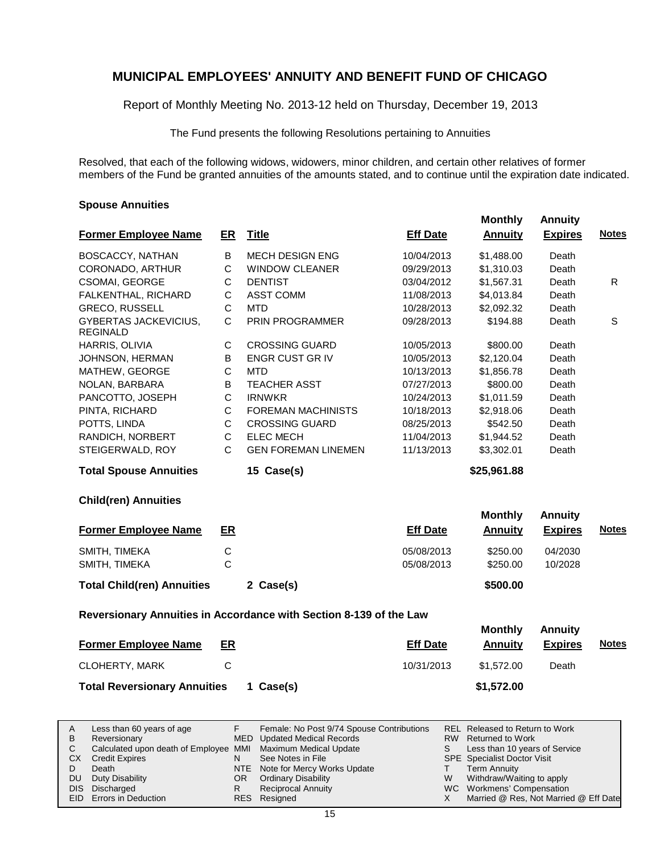Report of Monthly Meeting No. 2013-12 held on Thursday, December 19, 2013

The Fund presents the following Resolutions pertaining to Annuities

Resolved, that each of the following widows, widowers, minor children, and certain other relatives of former members of the Fund be granted annuities of the amounts stated, and to continue until the expiration date indicated.

#### **Spouse Annuities**

| <b>Former Employee Name</b>                     | ER           | <b>Title</b>                                                       | <b>Eff Date</b> | <b>Monthly</b><br><b>Annuity</b> | <b>Annuity</b><br><b>Expires</b> | <b>Notes</b> |
|-------------------------------------------------|--------------|--------------------------------------------------------------------|-----------------|----------------------------------|----------------------------------|--------------|
| BOSCACCY, NATHAN                                | B            | <b>MECH DESIGN ENG</b>                                             | 10/04/2013      | \$1,488.00                       | Death                            |              |
| CORONADO, ARTHUR                                | $\mathsf C$  | <b>WINDOW CLEANER</b>                                              | 09/29/2013      | \$1,310.03                       | Death                            |              |
| <b>CSOMAI, GEORGE</b>                           | С            | <b>DENTIST</b>                                                     | 03/04/2012      | \$1,567.31                       | Death                            | R            |
| FALKENTHAL, RICHARD                             | C            | <b>ASST COMM</b>                                                   | 11/08/2013      | \$4,013.84                       | Death                            |              |
| <b>GRECO, RUSSELL</b>                           | $\mathsf C$  | <b>MTD</b>                                                         | 10/28/2013      | \$2,092.32                       | Death                            |              |
| <b>GYBERTAS JACKEVICIUS,</b><br><b>REGINALD</b> | C            | <b>PRIN PROGRAMMER</b>                                             | 09/28/2013      | \$194.88                         | Death                            | S            |
| HARRIS, OLIVIA                                  | $\mathbf C$  | <b>CROSSING GUARD</b>                                              | 10/05/2013      | \$800.00                         | Death                            |              |
| JOHNSON, HERMAN                                 | B            | <b>ENGR CUST GR IV</b>                                             | 10/05/2013      | \$2,120.04                       | Death                            |              |
| MATHEW, GEORGE                                  | C            | <b>MTD</b>                                                         | 10/13/2013      | \$1,856.78                       | Death                            |              |
| NOLAN, BARBARA                                  | B            | <b>TEACHER ASST</b>                                                | 07/27/2013      | \$800.00                         | Death                            |              |
| PANCOTTO, JOSEPH                                | C            | <b>IRNWKR</b>                                                      | 10/24/2013      | \$1,011.59                       | Death                            |              |
| PINTA, RICHARD                                  | $\mathsf C$  | <b>FOREMAN MACHINISTS</b>                                          | 10/18/2013      | \$2,918.06                       | Death                            |              |
| POTTS, LINDA                                    | C            | <b>CROSSING GUARD</b>                                              | 08/25/2013      | \$542.50                         | Death                            |              |
| RANDICH, NORBERT                                | С            | <b>ELEC MECH</b>                                                   | 11/04/2013      | \$1,944.52                       | Death                            |              |
| STEIGERWALD, ROY                                | $\mathsf{C}$ | <b>GEN FOREMAN LINEMEN</b>                                         | 11/13/2013      | \$3,302.01                       | Death                            |              |
| <b>Total Spouse Annuities</b>                   |              | 15 Case(s)                                                         |                 | \$25,961.88                      |                                  |              |
| <b>Child(ren) Annuities</b>                     |              |                                                                    |                 |                                  |                                  |              |
|                                                 |              |                                                                    |                 | <b>Monthly</b>                   | <b>Annuity</b>                   |              |
| <b>Former Employee Name</b>                     | ER           |                                                                    | <b>Eff Date</b> | <b>Annuity</b>                   | <b>Expires</b>                   | <b>Notes</b> |
| SMITH, TIMEKA                                   | $\mathsf C$  |                                                                    | 05/08/2013      | \$250.00                         | 04/2030                          |              |
| SMITH, TIMEKA                                   | $\mathsf{C}$ |                                                                    | 05/08/2013      | \$250.00                         | 10/2028                          |              |
| <b>Total Child(ren) Annuities</b>               |              | 2 Case(s)                                                          |                 | \$500.00                         |                                  |              |
|                                                 |              | Reversionary Annuities in Accordance with Section 8-139 of the Law |                 |                                  |                                  |              |
|                                                 |              |                                                                    |                 | <b>Monthly</b>                   | <b>Annuity</b>                   |              |
| <b>Former Employee Name</b>                     | ER           |                                                                    | <b>Eff Date</b> | <b>Annuity</b>                   | <b>Expires</b>                   | <b>Notes</b> |
| $O$ LOUEDTV MADIZ                               | $\sim$       |                                                                    | 10/2102         | $A = 70.00$                      | $D = -4$                         |              |

| CLOHERTY, MARK                      |           | 10/31/2013 | \$1.572.00 | Death |
|-------------------------------------|-----------|------------|------------|-------|
| <b>Total Reversionary Annuities</b> | 1 Case(s) |            | \$1,572.00 |       |

| A         | Less than 60 years of age                                    |     | Female: No Post 9/74 Spouse Contributions |    | REL Released to Return to Work        |
|-----------|--------------------------------------------------------------|-----|-------------------------------------------|----|---------------------------------------|
| B         | Reversionary                                                 |     | MED Updated Medical Records               |    | RW Returned to Work                   |
|           | Calculated upon death of Employee MMI Maximum Medical Update |     |                                           | S. | Less than 10 years of Service         |
| <b>CX</b> | <b>Credit Expires</b>                                        |     | See Notes in File                         |    | <b>SPE</b> Specialist Doctor Visit    |
|           | Death                                                        |     | NTE Note for Mercy Works Update           |    | Term Annuity                          |
| DU.       | Duty Disability                                              | OR. | <b>Ordinary Disability</b>                | W  | Withdraw/Waiting to apply             |
|           | DIS Discharged                                               |     | Reciprocal Annuity                        |    | WC Workmens' Compensation             |
|           | EID Errors in Deduction                                      |     | RES Resigned                              |    | Married @ Res, Not Married @ Eff Date |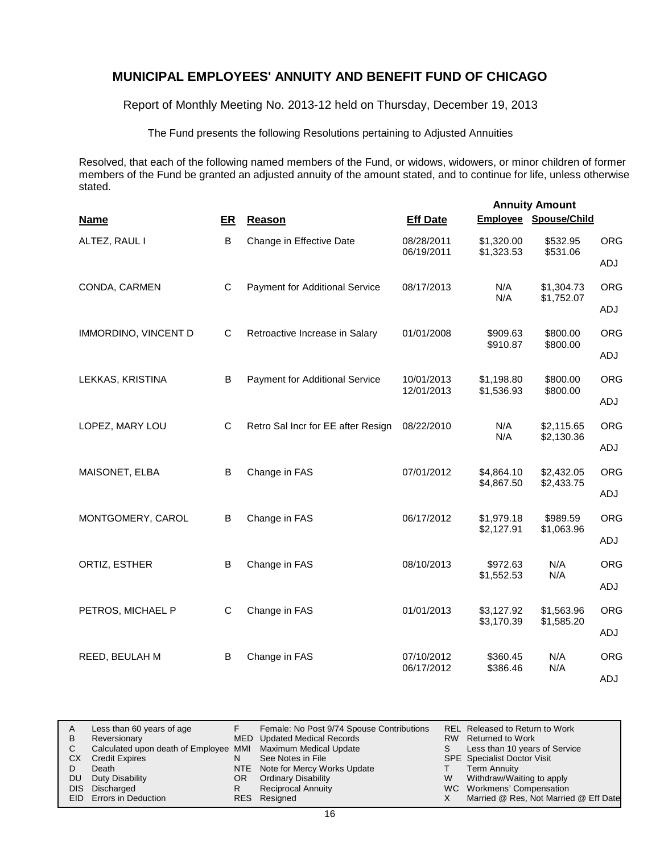Report of Monthly Meeting No. 2013-12 held on Thursday, December 19, 2013

The Fund presents the following Resolutions pertaining to Adjusted Annuities

Resolved, that each of the following named members of the Fund, or widows, widowers, or minor children of former members of the Fund be granted an adjusted annuity of the amount stated, and to continue for life, unless otherwise stated.

|                      |              |                                       |                          |                          | <b>Annuity Amount</b>        |            |
|----------------------|--------------|---------------------------------------|--------------------------|--------------------------|------------------------------|------------|
| <b>Name</b>          | ER           | Reason                                | <b>Eff Date</b>          |                          | <b>Employee Spouse/Child</b> |            |
| ALTEZ, RAUL I        | B            | Change in Effective Date              | 08/28/2011               | \$1,320.00               | \$532.95                     | <b>ORG</b> |
|                      |              |                                       | 06/19/2011               | \$1,323.53               | \$531.06                     | ADJ        |
| CONDA, CARMEN        | $\mathsf{C}$ | <b>Payment for Additional Service</b> | 08/17/2013               | N/A<br>N/A               | \$1,304.73<br>\$1,752.07     | <b>ORG</b> |
|                      |              |                                       |                          |                          |                              | ADJ        |
| IMMORDINO, VINCENT D | C            | Retroactive Increase in Salary        | 01/01/2008               | \$909.63<br>\$910.87     | \$800.00<br>\$800.00         | <b>ORG</b> |
|                      |              |                                       |                          |                          |                              | ADJ        |
| LEKKAS, KRISTINA     | B            | Payment for Additional Service        | 10/01/2013<br>12/01/2013 | \$1,198.80               | \$800.00<br>\$800.00         | <b>ORG</b> |
|                      |              |                                       |                          | \$1,536.93               |                              | ADJ        |
| LOPEZ, MARY LOU      | $\mathsf{C}$ | Retro Sal Incr for EE after Resign    | 08/22/2010               | N/A<br>N/A               | \$2,115.65<br>\$2,130.36     | <b>ORG</b> |
|                      |              |                                       |                          |                          |                              | ADJ        |
| MAISONET, ELBA       | B            | Change in FAS                         | 07/01/2012               | \$4,864.10<br>\$4,867.50 | \$2,432.05<br>\$2,433.75     | <b>ORG</b> |
|                      |              |                                       |                          |                          |                              | ADJ        |
| MONTGOMERY, CAROL    | B            | Change in FAS                         | 06/17/2012               | \$1,979.18<br>\$2,127.91 | \$989.59<br>\$1,063.96       | <b>ORG</b> |
|                      |              |                                       |                          |                          |                              | ADJ        |
| ORTIZ, ESTHER        | B            | Change in FAS                         | 08/10/2013               | \$972.63<br>\$1,552.53   | N/A<br>N/A                   | <b>ORG</b> |
|                      |              |                                       |                          |                          |                              | ADJ        |
| PETROS, MICHAEL P    | C            | Change in FAS                         | 01/01/2013               | \$3,127.92<br>\$3,170.39 | \$1,563.96<br>\$1,585.20     | <b>ORG</b> |
|                      |              |                                       |                          |                          |                              | ADJ        |
| REED, BEULAH M       | B            | Change in FAS                         | 07/10/2012<br>06/17/2012 | \$360.45<br>\$386.46     | N/A<br>N/A                   | <b>ORG</b> |
|                      |              |                                       |                          |                          |                              | ADJ        |

| A  | Less than 60 years of age                                    |     | Female: No Post 9/74 Spouse Contributions |    | <b>REL Released to Return to Work</b> |
|----|--------------------------------------------------------------|-----|-------------------------------------------|----|---------------------------------------|
| В  | Reversionary                                                 |     | MED Updated Medical Records               |    | RW Returned to Work                   |
|    | Calculated upon death of Employee MMI Maximum Medical Update |     |                                           | S. | Less than 10 years of Service         |
| CХ | <b>Credit Expires</b>                                        | N   | See Notes in File                         |    | <b>SPE</b> Specialist Doctor Visit    |
|    | Death                                                        |     | NTE Note for Mercy Works Update           |    | Term Annuity                          |
| DU | Duty Disability                                              | OR. | <b>Ordinary Disability</b>                | W  | Withdraw/Waiting to apply             |
|    | DIS Discharged                                               |     | <b>Reciprocal Annuity</b>                 |    | WC Workmens' Compensation             |
|    | <b>EID</b> Errors in Deduction                               |     | RES Resigned                              |    | Married @ Res, Not Married @ Eff Date |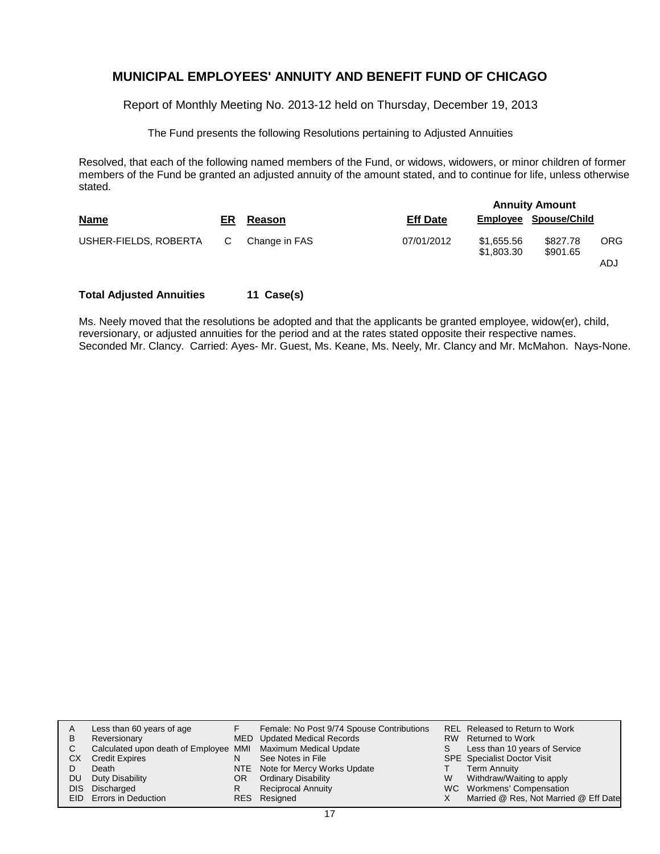Report of Monthly Meeting No. 2013-12 held on Thursday, December 19, 2013

The Fund presents the following Resolutions pertaining to Adjusted Annuities

Resolved, that each of the following named members of the Fund, or widows, widowers, or minor children of former members of the Fund be granted an adjusted annuity of the amount stated, and to continue for life, unless otherwise stated.

|                       |     |               |                 |                          | <b>Annuity Amount</b> |            |
|-----------------------|-----|---------------|-----------------|--------------------------|-----------------------|------------|
| <b>Name</b>           | ER. | Reason        | <b>Eff Date</b> |                          | Employee Spouse/Child |            |
| USHER-FIELDS, ROBERTA | C.  | Change in FAS | 07/01/2012      | \$1,655.56<br>\$1,803,30 | \$827.78<br>\$901.65  | <b>ORG</b> |
|                       |     |               |                 |                          |                       | ADJ        |

### **Total Adjusted Annuities 11 Case(s)**

Ms. Neely moved that the resolutions be adopted and that the applicants be granted employee, widow(er), child, reversionary, or adjusted annuities for the period and at the rates stated opposite their respective names. Seconded Mr. Clancy. Carried: Ayes- Mr. Guest, Ms. Keane, Ms. Neely, Mr. Clancy and Mr. McMahon. Nays-None.

| A   | Less than 60 years of age                                    |    | Female: No Post 9/74 Spouse Contributions |   | REL Released to Return to Work        |
|-----|--------------------------------------------------------------|----|-------------------------------------------|---|---------------------------------------|
| в   | Reversionary                                                 |    | MED Updated Medical Records               |   | RW Returned to Work                   |
| C.  | Calculated upon death of Employee MMI Maximum Medical Update |    |                                           | S | Less than 10 years of Service         |
| CХ  | <b>Credit Expires</b>                                        | N  | See Notes in File                         |   | <b>SPE</b> Specialist Doctor Visit    |
|     | Death                                                        |    | NTE Note for Mercy Works Update           |   | <b>Term Annuity</b>                   |
| DU. | Duty Disability                                              | OR | <b>Ordinary Disability</b>                | W | Withdraw/Waiting to apply             |
|     | DIS Discharged                                               | R  | <b>Reciprocal Annuity</b>                 |   | WC Workmens' Compensation             |
|     | EID Errors in Deduction                                      |    | RES Resigned                              |   | Married @ Res, Not Married @ Eff Date |
|     |                                                              |    |                                           |   |                                       |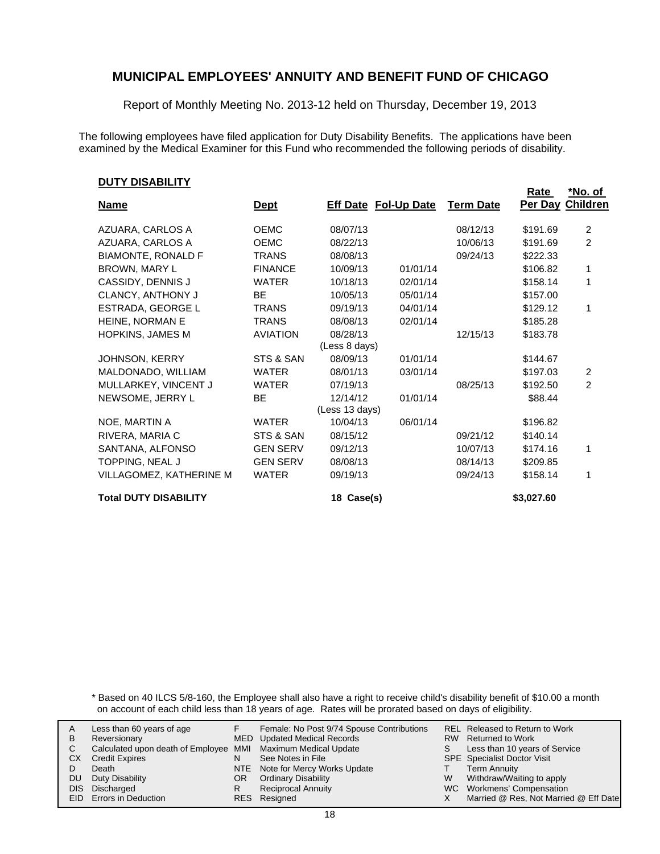Report of Monthly Meeting No. 2013-12 held on Thursday, December 19, 2013

The following employees have filed application for Duty Disability Benefits. The applications have been examined by the Medical Examiner for this Fund who recommended the following periods of disability.

#### **DUTY DISABILITY**

|                              |                 |                |                             |                  | <b>Rate</b> | *No. of        |
|------------------------------|-----------------|----------------|-----------------------------|------------------|-------------|----------------|
| <b>Name</b>                  | <u>Dept</u>     |                | <b>Eff Date Fol-Up Date</b> | <b>Term Date</b> | Per Day     | Children       |
| AZUARA, CARLOS A             | <b>OEMC</b>     | 08/07/13       |                             | 08/12/13         | \$191.69    | $\overline{2}$ |
| AZUARA, CARLOS A             | <b>OEMC</b>     | 08/22/13       |                             | 10/06/13         | \$191.69    | $\overline{2}$ |
| <b>BIAMONTE, RONALD F</b>    | <b>TRANS</b>    | 08/08/13       |                             | 09/24/13         | \$222.33    |                |
| BROWN, MARY L                | <b>FINANCE</b>  | 10/09/13       | 01/01/14                    |                  | \$106.82    | 1              |
| CASSIDY, DENNIS J            | <b>WATER</b>    | 10/18/13       | 02/01/14                    |                  | \$158.14    | 1              |
| <b>CLANCY, ANTHONY J</b>     | <b>BE</b>       | 10/05/13       | 05/01/14                    |                  | \$157.00    |                |
| ESTRADA, GEORGE L            | <b>TRANS</b>    | 09/19/13       | 04/01/14                    |                  | \$129.12    | 1              |
| HEINE, NORMAN E              | <b>TRANS</b>    | 08/08/13       | 02/01/14                    |                  | \$185.28    |                |
| <b>HOPKINS, JAMES M</b>      | <b>AVIATION</b> | 08/28/13       |                             | 12/15/13         | \$183.78    |                |
|                              |                 | (Less 8 days)  |                             |                  |             |                |
| JOHNSON, KERRY               | STS & SAN       | 08/09/13       | 01/01/14                    |                  | \$144.67    |                |
| MALDONADO, WILLIAM           | <b>WATER</b>    | 08/01/13       | 03/01/14                    |                  | \$197.03    | 2              |
| MULLARKEY, VINCENT J         | <b>WATER</b>    | 07/19/13       |                             | 08/25/13         | \$192.50    | $\overline{2}$ |
| NEWSOME, JERRY L             | <b>BE</b>       | 12/14/12       | 01/01/14                    |                  | \$88.44     |                |
|                              |                 | (Less 13 days) |                             |                  |             |                |
| NOE, MARTIN A                | <b>WATER</b>    | 10/04/13       | 06/01/14                    |                  | \$196.82    |                |
| RIVERA, MARIA C              | STS & SAN       | 08/15/12       |                             | 09/21/12         | \$140.14    |                |
| SANTANA, ALFONSO             | <b>GEN SERV</b> | 09/12/13       |                             | 10/07/13         | \$174.16    | 1              |
| TOPPING, NEAL J              | <b>GEN SERV</b> | 08/08/13       |                             | 08/14/13         | \$209.85    |                |
| VILLAGOMEZ, KATHERINE M      | <b>WATER</b>    | 09/19/13       |                             | 09/24/13         | \$158.14    | 1              |
| <b>Total DUTY DISABILITY</b> |                 | 18 Case(s)     |                             |                  | \$3,027.60  |                |

\* Based on 40 ILCS 5/8-160, the Employee shall also have a right to receive child's disability benefit of \$10.00 a month on account of each child less than 18 years of age. Rates will be prorated based on days of eligibility.

| A | Less than 60 years of age                                    |    | Female: No Post 9/74 Spouse Contributions |    | REL Released to Return to Work        |
|---|--------------------------------------------------------------|----|-------------------------------------------|----|---------------------------------------|
| В | Reversionary                                                 |    | <b>MED</b> Updated Medical Records        |    | RW Returned to Work                   |
|   | Calculated upon death of Employee MMI Maximum Medical Update |    |                                           | S. | Less than 10 years of Service         |
|   | СX<br><b>Credit Expires</b>                                  | N  | See Notes in File                         |    | <b>SPE</b> Specialist Doctor Visit    |
|   | Death                                                        |    | NTE Note for Mercy Works Update           |    | <b>Term Annuity</b>                   |
|   | Duty Disability<br>DU                                        | OR | <b>Ordinary Disability</b>                | W  | Withdraw/Waiting to apply             |
|   | DIS Discharged                                               | R  | <b>Reciprocal Annuity</b>                 |    | WC Workmens' Compensation             |
|   | EID Errors in Deduction                                      |    | RES Resigned                              |    | Married @ Res, Not Married @ Eff Date |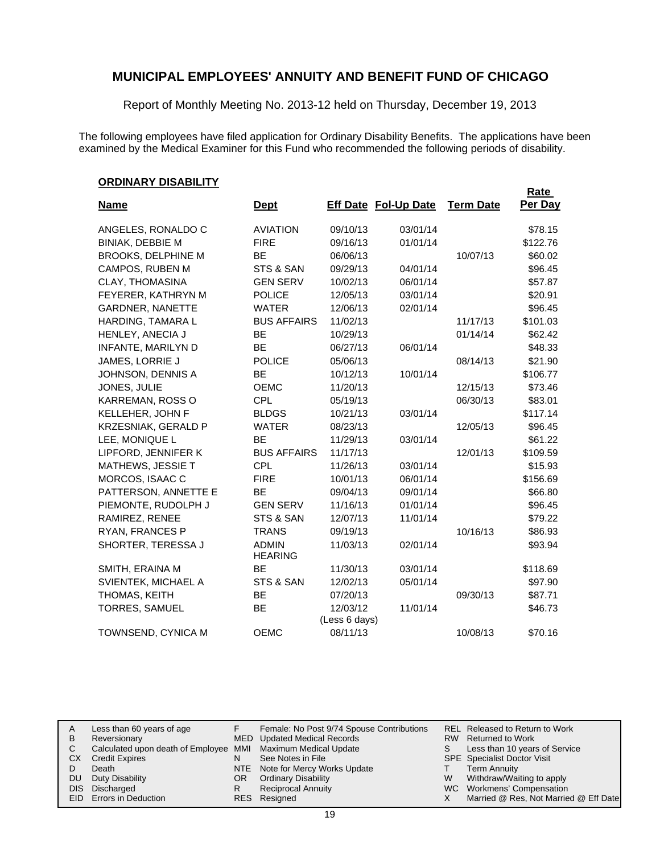Report of Monthly Meeting No. 2013-12 held on Thursday, December 19, 2013

The following employees have filed application for Ordinary Disability Benefits. The applications have been examined by the Medical Examiner for this Fund who recommended the following periods of disability.

### **ORDINARY DISABILITY**

|                          |                                |               |                             |                  | Rate     |
|--------------------------|--------------------------------|---------------|-----------------------------|------------------|----------|
| <u>Name</u>              | <b>Dept</b>                    |               | <b>Eff Date Fol-Up Date</b> | <b>Term Date</b> | Per Day  |
| ANGELES, RONALDO C       | <b>AVIATION</b>                | 09/10/13      | 03/01/14                    |                  | \$78.15  |
| <b>BINIAK, DEBBIE M</b>  | <b>FIRE</b>                    | 09/16/13      | 01/01/14                    |                  | \$122.76 |
| BROOKS, DELPHINE M       | <b>BE</b>                      | 06/06/13      |                             | 10/07/13         | \$60.02  |
| CAMPOS, RUBEN M          | STS & SAN                      | 09/29/13      | 04/01/14                    |                  | \$96.45  |
| CLAY, THOMASINA          | <b>GEN SERV</b>                | 10/02/13      | 06/01/14                    |                  | \$57.87  |
| FEYERER, KATHRYN M       | <b>POLICE</b>                  | 12/05/13      | 03/01/14                    |                  | \$20.91  |
| <b>GARDNER, NANETTE</b>  | <b>WATER</b>                   | 12/06/13      | 02/01/14                    |                  | \$96.45  |
| HARDING, TAMARA L        | <b>BUS AFFAIRS</b>             | 11/02/13      |                             | 11/17/13         | \$101.03 |
| HENLEY, ANECIA J         | <b>BE</b>                      | 10/29/13      |                             | 01/14/14         | \$62.42  |
| INFANTE, MARILYN D       | <b>BE</b>                      | 06/27/13      | 06/01/14                    |                  | \$48.33  |
| JAMES, LORRIE J          | <b>POLICE</b>                  | 05/06/13      |                             | 08/14/13         | \$21.90  |
| JOHNSON, DENNIS A        | <b>BE</b>                      | 10/12/13      | 10/01/14                    |                  | \$106.77 |
| JONES, JULIE             | <b>OEMC</b>                    | 11/20/13      |                             | 12/15/13         | \$73.46  |
| KARREMAN, ROSS O         | <b>CPL</b>                     | 05/19/13      |                             | 06/30/13         | \$83.01  |
| KELLEHER, JOHN F         | <b>BLDGS</b>                   | 10/21/13      | 03/01/14                    |                  | \$117.14 |
| KRZESNIAK, GERALD P      | <b>WATER</b>                   | 08/23/13      |                             | 12/05/13         | \$96.45  |
| LEE, MONIQUE L           | <b>BE</b>                      | 11/29/13      | 03/01/14                    |                  | \$61.22  |
| LIPFORD, JENNIFER K      | <b>BUS AFFAIRS</b>             | 11/17/13      |                             | 12/01/13         | \$109.59 |
| <b>MATHEWS, JESSIE T</b> | <b>CPL</b>                     | 11/26/13      | 03/01/14                    |                  | \$15.93  |
| MORCOS, ISAAC C          | <b>FIRE</b>                    | 10/01/13      | 06/01/14                    |                  | \$156.69 |
| PATTERSON, ANNETTE E     | <b>BE</b>                      | 09/04/13      | 09/01/14                    |                  | \$66.80  |
| PIEMONTE, RUDOLPH J      | <b>GEN SERV</b>                | 11/16/13      | 01/01/14                    |                  | \$96.45  |
| RAMIREZ, RENEE           | STS & SAN                      | 12/07/13      | 11/01/14                    |                  | \$79.22  |
| RYAN, FRANCES P          | <b>TRANS</b>                   | 09/19/13      |                             | 10/16/13         | \$86.93  |
| SHORTER, TERESSA J       | <b>ADMIN</b><br><b>HEARING</b> | 11/03/13      | 02/01/14                    |                  | \$93.94  |
| SMITH, ERAINA M          | <b>BE</b>                      | 11/30/13      | 03/01/14                    |                  | \$118.69 |
| SVIENTEK, MICHAEL A      | STS & SAN                      | 12/02/13      | 05/01/14                    |                  | \$97.90  |
| THOMAS, KEITH            | <b>BE</b>                      | 07/20/13      |                             | 09/30/13         | \$87.71  |
| <b>TORRES, SAMUEL</b>    | <b>BE</b>                      | 12/03/12      | 11/01/14                    |                  | \$46.73  |
|                          |                                | (Less 6 days) |                             |                  |          |
| TOWNSEND, CYNICA M       | <b>OEMC</b>                    | 08/11/13      |                             | 10/08/13         | \$70.16  |

| A    | Less than 60 years of age                                    |    | Female: No Post 9/74 Spouse Contributions |    | <b>REL Released to Return to Work</b> |
|------|--------------------------------------------------------------|----|-------------------------------------------|----|---------------------------------------|
| В    | Reversionary                                                 |    | <b>MED</b> Updated Medical Records        |    | RW Returned to Work                   |
|      | Calculated upon death of Employee MMI Maximum Medical Update |    |                                           | S. | Less than 10 years of Service         |
| CХ   | <b>Credit Expires</b>                                        | N  | See Notes in File                         |    | <b>SPE</b> Specialist Doctor Visit    |
|      | Death                                                        |    | NTE Note for Mercy Works Update           |    | <b>Term Annuity</b>                   |
| DU.  | Duty Disability                                              | OR | <b>Ordinary Disability</b>                | W  | Withdraw/Waiting to apply             |
| DIS. | Discharged                                                   | R  | <b>Reciprocal Annuity</b>                 |    | WC Workmens' Compensation             |
|      | <b>EID</b> Errors in Deduction                               |    | RES Resigned                              |    | Married @ Res, Not Married @ Eff Date |
|      |                                                              |    |                                           |    |                                       |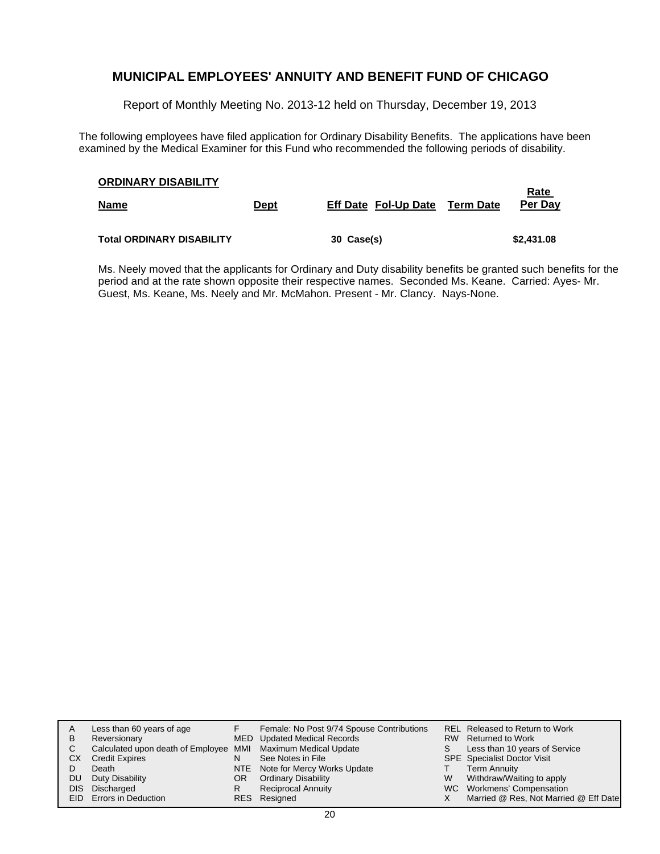Report of Monthly Meeting No. 2013-12 held on Thursday, December 19, 2013

The following employees have filed application for Ordinary Disability Benefits. The applications have been examined by the Medical Examiner for this Fund who recommended the following periods of disability.

| <b>ORDINARY DISABILITY</b><br><b>Name</b> | <b>Dept</b> | <b>Eff Date Fol-Up Date</b> | Term Date | Rate<br>Per Day |
|-------------------------------------------|-------------|-----------------------------|-----------|-----------------|
| <b>Total ORDINARY DISABILITY</b>          |             | 30 Case(s)                  |           | \$2,431.08      |

Ms. Neely moved that the applicants for Ordinary and Duty disability benefits be granted such benefits for the period and at the rate shown opposite their respective names. Seconded Ms. Keane. Carried: Ayes- Mr. Guest, Ms. Keane, Ms. Neely and Mr. McMahon. Present - Mr. Clancy. Nays-None.

|      | Less than 60 years of age                                    |            | Female: No Post 9/74 Spouse Contributions |   | REL Released to Return to Work        |
|------|--------------------------------------------------------------|------------|-------------------------------------------|---|---------------------------------------|
| в    | Reversionary                                                 |            | MED Updated Medical Records               |   | RW Returned to Work                   |
| C    | Calculated upon death of Employee MMI Maximum Medical Update |            |                                           | S | Less than 10 years of Service         |
| CХ   | <b>Credit Expires</b>                                        | N          | See Notes in File                         |   | <b>SPE</b> Specialist Doctor Visit    |
|      | Death                                                        |            | NTE Note for Mercy Works Update           |   | <b>Term Annuity</b>                   |
| DU   | Duty Disability                                              | OR         | <b>Ordinary Disability</b>                | W | Withdraw/Waiting to apply             |
| DIS. | Discharged                                                   | R          | <b>Reciprocal Annuity</b>                 |   | WC Workmens' Compensation             |
|      | <b>EID</b> Errors in Deduction                               | <b>RES</b> | Resigned                                  |   | Married @ Res, Not Married @ Eff Date |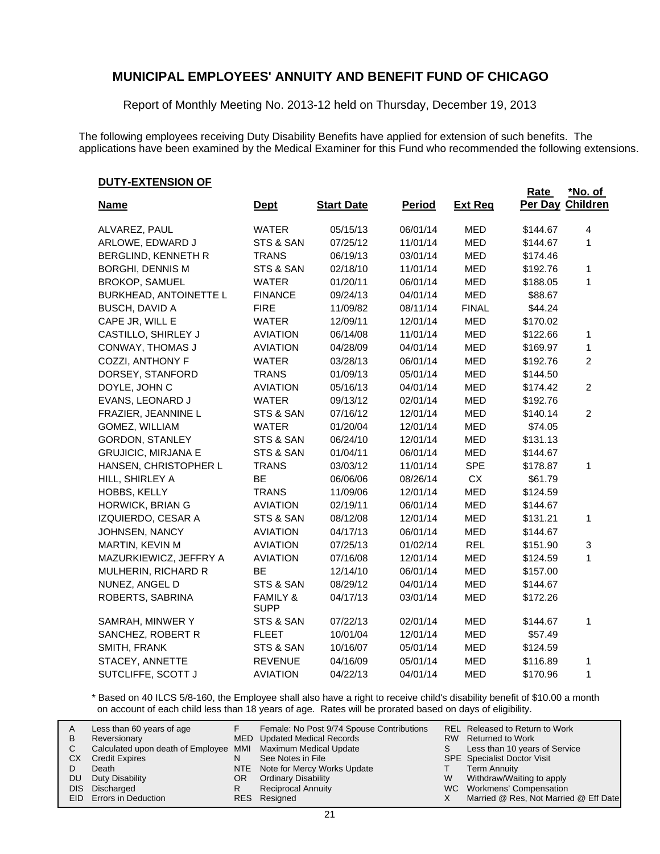Report of Monthly Meeting No. 2013-12 held on Thursday, December 19, 2013

The following employees receiving Duty Disability Benefits have applied for extension of such benefits. The applications have been examined by the Medical Examiner for this Fund who recommended the following extensions.

#### **DUTY-EXTENSION OF**

|                               |                                    |                   |               |                | <b>Rate</b> | <u>*No. of</u>   |
|-------------------------------|------------------------------------|-------------------|---------------|----------------|-------------|------------------|
| <u>Name</u>                   | <u>Dept</u>                        | <b>Start Date</b> | <b>Period</b> | <b>Ext Reg</b> |             | Per Day Children |
| ALVAREZ, PAUL                 | <b>WATER</b>                       | 05/15/13          | 06/01/14      | MED            | \$144.67    | 4                |
| ARLOWE, EDWARD J              | STS & SAN                          | 07/25/12          | 11/01/14      | <b>MED</b>     | \$144.67    | 1                |
| BERGLIND, KENNETH R           | <b>TRANS</b>                       | 06/19/13          | 03/01/14      | MED            | \$174.46    |                  |
| <b>BORGHI, DENNIS M</b>       | STS & SAN                          | 02/18/10          | 11/01/14      | MED            | \$192.76    | 1                |
| <b>BROKOP, SAMUEL</b>         | <b>WATER</b>                       | 01/20/11          | 06/01/14      | MED            | \$188.05    | 1                |
| <b>BURKHEAD, ANTOINETTE L</b> | <b>FINANCE</b>                     | 09/24/13          | 04/01/14      | MED            | \$88.67     |                  |
| <b>BUSCH, DAVID A</b>         | <b>FIRE</b>                        | 11/09/82          | 08/11/14      | <b>FINAL</b>   | \$44.24     |                  |
| CAPE JR, WILL E               | <b>WATER</b>                       | 12/09/11          | 12/01/14      | MED            | \$170.02    |                  |
| CASTILLO, SHIRLEY J           | <b>AVIATION</b>                    | 06/14/08          | 11/01/14      | <b>MED</b>     | \$122.66    | $\mathbf{1}$     |
| CONWAY, THOMAS J              | <b>AVIATION</b>                    | 04/28/09          | 04/01/14      | MED            | \$169.97    | 1                |
| COZZI, ANTHONY F              | <b>WATER</b>                       | 03/28/13          | 06/01/14      | <b>MED</b>     | \$192.76    | $\overline{c}$   |
| DORSEY, STANFORD              | <b>TRANS</b>                       | 01/09/13          | 05/01/14      | MED            | \$144.50    |                  |
| DOYLE, JOHN C                 | <b>AVIATION</b>                    | 05/16/13          | 04/01/14      | <b>MED</b>     | \$174.42    | $\overline{2}$   |
| EVANS, LEONARD J              | <b>WATER</b>                       | 09/13/12          | 02/01/14      | MED            | \$192.76    |                  |
| FRAZIER, JEANNINE L           | STS & SAN                          | 07/16/12          | 12/01/14      | <b>MED</b>     | \$140.14    | $\overline{2}$   |
| GOMEZ, WILLIAM                | <b>WATER</b>                       | 01/20/04          | 12/01/14      | MED            | \$74.05     |                  |
| <b>GORDON, STANLEY</b>        | STS & SAN                          | 06/24/10          | 12/01/14      | <b>MED</b>     | \$131.13    |                  |
| <b>GRUJICIC, MIRJANA E</b>    | STS & SAN                          | 01/04/11          | 06/01/14      | MED            | \$144.67    |                  |
| HANSEN, CHRISTOPHER L         | <b>TRANS</b>                       | 03/03/12          | 11/01/14      | <b>SPE</b>     | \$178.87    | 1                |
| HILL, SHIRLEY A               | BE                                 | 06/06/06          | 08/26/14      | <b>CX</b>      | \$61.79     |                  |
| HOBBS, KELLY                  | <b>TRANS</b>                       | 11/09/06          | 12/01/14      | <b>MED</b>     | \$124.59    |                  |
| HORWICK, BRIAN G              | <b>AVIATION</b>                    | 02/19/11          | 06/01/14      | MED            | \$144.67    |                  |
| IZQUIERDO, CESAR A            | STS & SAN                          | 08/12/08          | 12/01/14      | <b>MED</b>     | \$131.21    | $\mathbf{1}$     |
| JOHNSEN, NANCY                | <b>AVIATION</b>                    | 04/17/13          | 06/01/14      | MED            | \$144.67    |                  |
| MARTIN, KEVIN M               | <b>AVIATION</b>                    | 07/25/13          | 01/02/14      | <b>REL</b>     | \$151.90    | 3                |
| MAZURKIEWICZ, JEFFRY A        | <b>AVIATION</b>                    | 07/16/08          | 12/01/14      | MED            | \$124.59    | 1                |
| MULHERIN, RICHARD R           | <b>BE</b>                          | 12/14/10          | 06/01/14      | <b>MED</b>     | \$157.00    |                  |
| NUNEZ, ANGEL D                | STS & SAN                          | 08/29/12          | 04/01/14      | MED            | \$144.67    |                  |
| ROBERTS, SABRINA              | <b>FAMILY &amp;</b><br><b>SUPP</b> | 04/17/13          | 03/01/14      | <b>MED</b>     | \$172.26    |                  |
| SAMRAH, MINWER Y              | STS & SAN                          | 07/22/13          | 02/01/14      | MED            | \$144.67    | 1                |
| SANCHEZ, ROBERT R             | <b>FLEET</b>                       | 10/01/04          | 12/01/14      | MED            | \$57.49     |                  |
| SMITH, FRANK                  | STS & SAN                          | 10/16/07          | 05/01/14      | MED            | \$124.59    |                  |
| STACEY, ANNETTE               | <b>REVENUE</b>                     | 04/16/09          | 05/01/14      | <b>MED</b>     | \$116.89    | 1                |
| SUTCLIFFE, SCOTT J            | <b>AVIATION</b>                    | 04/22/13          | 04/01/14      | <b>MED</b>     | \$170.96    | 1                |

\* Based on 40 ILCS 5/8-160, the Employee shall also have a right to receive child's disability benefit of \$10.00 a month on account of each child less than 18 years of age. Rates will be prorated based on days of eligibility.

| A  | Less than 60 years of age                                    |    | Female: No Post 9/74 Spouse Contributions |   | <b>REL Released to Return to Work</b> |
|----|--------------------------------------------------------------|----|-------------------------------------------|---|---------------------------------------|
| В  | Reversionary                                                 |    | MED Updated Medical Records               |   | RW Returned to Work                   |
|    | Calculated upon death of Employee MMI Maximum Medical Update |    |                                           |   | Less than 10 years of Service         |
| СX | <b>Credit Expires</b>                                        | N  | See Notes in File                         |   | <b>SPE</b> Specialist Doctor Visit    |
|    | Death                                                        |    | NTE Note for Mercy Works Update           |   | <b>Term Annuity</b>                   |
| DU | Duty Disability                                              | OR | <b>Ordinary Disability</b>                | W | Withdraw/Waiting to apply             |
|    | DIS Discharged                                               | R  | <b>Reciprocal Annuity</b>                 |   | WC Workmens' Compensation             |
|    | EID Errors in Deduction                                      |    | RES Resigned                              |   | Married @ Res, Not Married @ Eff Date |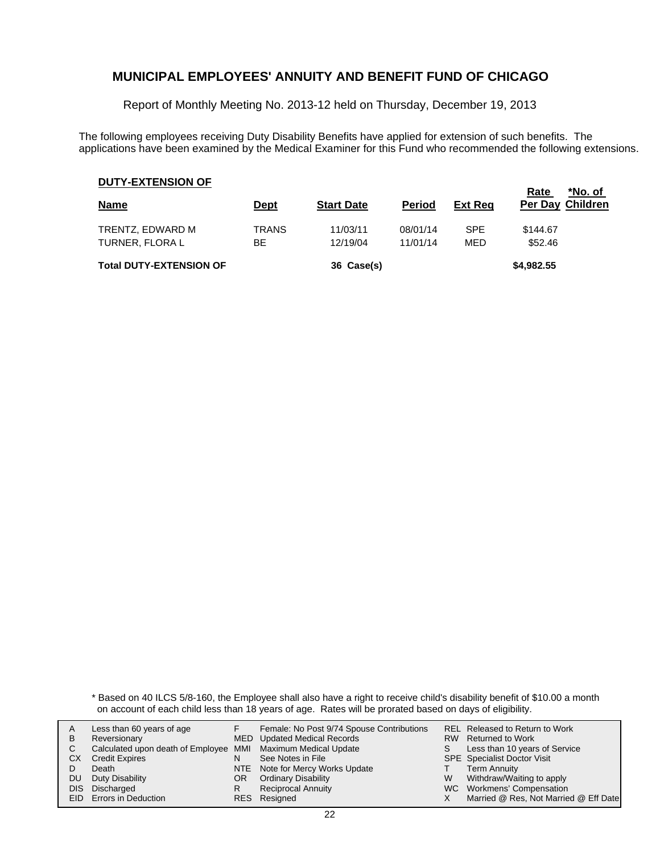Report of Monthly Meeting No. 2013-12 held on Thursday, December 19, 2013

The following employees receiving Duty Disability Benefits have applied for extension of such benefits. The applications have been examined by the Medical Examiner for this Fund who recommended the following extensions.

#### **DUTY-EXTENSION OF**

| <b>Name</b>                         | <u>Dept</u> | <b>Start Date</b>    | <b>Period</b>        | <b>Ext Reg</b>    | *No. of<br>Rate<br>Per Day Children |
|-------------------------------------|-------------|----------------------|----------------------|-------------------|-------------------------------------|
| TRENTZ, EDWARD M<br>TURNER, FLORA L | TRANS<br>ВE | 11/03/11<br>12/19/04 | 08/01/14<br>11/01/14 | <b>SPE</b><br>MED | \$144.67<br>\$52.46                 |
| <b>Total DUTY-EXTENSION OF</b>      |             | 36 Case(s)           |                      |                   | \$4,982.55                          |

\* Based on 40 ILCS 5/8-160, the Employee shall also have a right to receive child's disability benefit of \$10.00 a month on account of each child less than 18 years of age. Rates will be prorated based on days of eligibility.

| A    | Less than 60 years of age                                    |    | Female: No Post 9/74 Spouse Contributions |    | REL Released to Return to Work        |
|------|--------------------------------------------------------------|----|-------------------------------------------|----|---------------------------------------|
| В    | Reversionary                                                 |    | <b>MED</b> Updated Medical Records        |    | RW Returned to Work                   |
|      | Calculated upon death of Employee MMI Maximum Medical Update |    |                                           | S. | Less than 10 years of Service         |
| CХ   | <b>Credit Expires</b>                                        | N  | See Notes in File                         |    | <b>SPE</b> Specialist Doctor Visit    |
|      | Death                                                        |    | NTE Note for Mercy Works Update           |    | <b>Term Annuity</b>                   |
| DU   | Duty Disability                                              | OR | <b>Ordinary Disability</b>                | W  | Withdraw/Waiting to apply             |
| DIS. | Discharged                                                   | R  | <b>Reciprocal Annuity</b>                 |    | WC Workmens' Compensation             |
|      | <b>EID</b> Errors in Deduction                               |    | RES Resigned                              |    | Married @ Res, Not Married @ Eff Date |
|      |                                                              |    |                                           |    |                                       |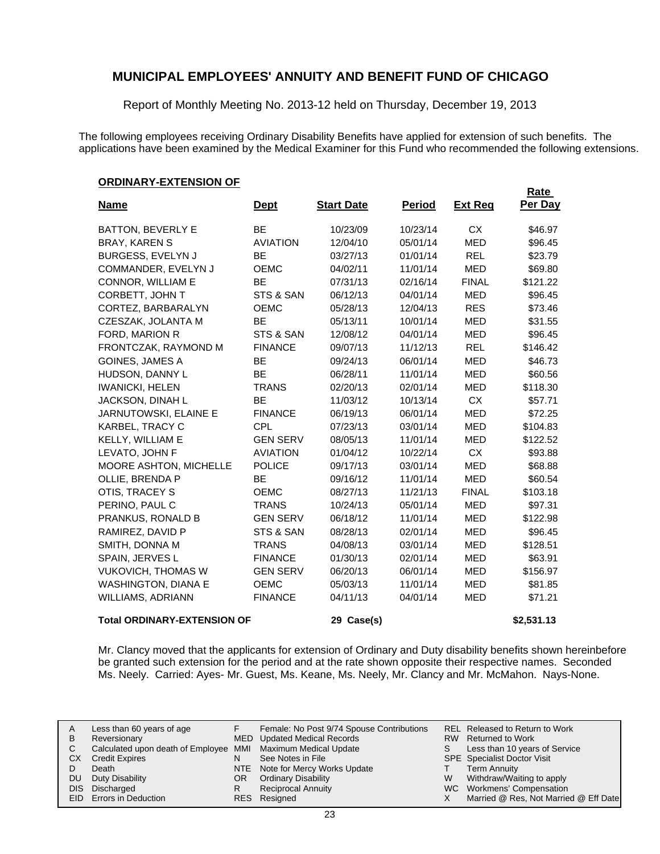Report of Monthly Meeting No. 2013-12 held on Thursday, December 19, 2013

The following employees receiving Ordinary Disability Benefits have applied for extension of such benefits. The applications have been examined by the Medical Examiner for this Fund who recommended the following extensions.

#### **ORDINARY-EXTENSION OF**

| <b>Name</b>                        | <u>Dept</u>     | <b>Start Date</b> | <u>Period</u> | <b>Ext Req</b> | Rate<br>Per Day |
|------------------------------------|-----------------|-------------------|---------------|----------------|-----------------|
| <b>BATTON, BEVERLY E</b>           | BE              | 10/23/09          | 10/23/14      | <b>CX</b>      | \$46.97         |
| <b>BRAY, KAREN S</b>               | <b>AVIATION</b> | 12/04/10          | 05/01/14      | <b>MED</b>     | \$96.45         |
| BURGESS, EVELYN J                  | <b>BE</b>       | 03/27/13          | 01/01/14      | <b>REL</b>     | \$23.79         |
| COMMANDER, EVELYN J                | <b>OEMC</b>     | 04/02/11          | 11/01/14      | <b>MED</b>     | \$69.80         |
| CONNOR, WILLIAM E                  | <b>BE</b>       | 07/31/13          | 02/16/14      | <b>FINAL</b>   | \$121.22        |
| CORBETT, JOHN T                    | STS & SAN       | 06/12/13          | 04/01/14      | <b>MED</b>     | \$96.45         |
| CORTEZ, BARBARALYN                 | <b>OEMC</b>     | 05/28/13          | 12/04/13      | <b>RES</b>     | \$73.46         |
| CZESZAK, JOLANTA M                 | <b>BE</b>       | 05/13/11          | 10/01/14      | <b>MED</b>     | \$31.55         |
| FORD, MARION R                     | STS & SAN       | 12/08/12          | 04/01/14      | <b>MED</b>     | \$96.45         |
| FRONTCZAK, RAYMOND M               | <b>FINANCE</b>  | 09/07/13          | 11/12/13      | <b>REL</b>     | \$146.42        |
| <b>GOINES, JAMES A</b>             | BE              | 09/24/13          | 06/01/14      | <b>MED</b>     | \$46.73         |
| HUDSON, DANNY L                    | <b>BE</b>       | 06/28/11          | 11/01/14      | <b>MED</b>     | \$60.56         |
| <b>IWANICKI, HELEN</b>             | <b>TRANS</b>    | 02/20/13          | 02/01/14      | <b>MED</b>     | \$118.30        |
| JACKSON, DINAH L                   | <b>BE</b>       | 11/03/12          | 10/13/14      | <b>CX</b>      | \$57.71         |
| JARNUTOWSKI, ELAINE E              | <b>FINANCE</b>  | 06/19/13          | 06/01/14      | <b>MED</b>     | \$72.25         |
| KARBEL, TRACY C                    | <b>CPL</b>      | 07/23/13          | 03/01/14      | <b>MED</b>     | \$104.83        |
| KELLY, WILLIAM E                   | <b>GEN SERV</b> | 08/05/13          | 11/01/14      | <b>MED</b>     | \$122.52        |
| LEVATO, JOHN F                     | <b>AVIATION</b> | 01/04/12          | 10/22/14      | <b>CX</b>      | \$93.88         |
| MOORE ASHTON, MICHELLE             | <b>POLICE</b>   | 09/17/13          | 03/01/14      | <b>MED</b>     | \$68.88         |
| OLLIE, BRENDA P                    | BE              | 09/16/12          | 11/01/14      | <b>MED</b>     | \$60.54         |
| OTIS, TRACEY S                     | <b>OEMC</b>     | 08/27/13          | 11/21/13      | <b>FINAL</b>   | \$103.18        |
| PERINO, PAUL C                     | <b>TRANS</b>    | 10/24/13          | 05/01/14      | <b>MED</b>     | \$97.31         |
| PRANKUS, RONALD B                  | <b>GEN SERV</b> | 06/18/12          | 11/01/14      | <b>MED</b>     | \$122.98        |
| RAMIREZ, DAVID P                   | STS & SAN       | 08/28/13          | 02/01/14      | <b>MED</b>     | \$96.45         |
| SMITH, DONNA M                     | <b>TRANS</b>    | 04/08/13          | 03/01/14      | <b>MED</b>     | \$128.51        |
| SPAIN, JERVES L                    | <b>FINANCE</b>  | 01/30/13          | 02/01/14      | <b>MED</b>     | \$63.91         |
| <b>VUKOVICH, THOMAS W</b>          | <b>GEN SERV</b> | 06/20/13          | 06/01/14      | <b>MED</b>     | \$156.97        |
| <b>WASHINGTON, DIANA E</b>         | <b>OEMC</b>     | 05/03/13          | 11/01/14      | <b>MED</b>     | \$81.85         |
| WILLIAMS, ADRIANN                  | <b>FINANCE</b>  | 04/11/13          | 04/01/14      | <b>MED</b>     | \$71.21         |
| <b>Total ORDINARY-EXTENSION OF</b> |                 | 29 Case(s)        |               |                | \$2,531.13      |

Mr. Clancy moved that the applicants for extension of Ordinary and Duty disability benefits shown hereinbefore be granted such extension for the period and at the rate shown opposite their respective names. Seconded Ms. Neely. Carried: Ayes- Mr. Guest, Ms. Keane, Ms. Neely, Mr. Clancy and Mr. McMahon. Nays-None.

| A   | Less than 60 years of age                                    |     | Female: No Post 9/74 Spouse Contributions |   | REL Released to Return to Work        |
|-----|--------------------------------------------------------------|-----|-------------------------------------------|---|---------------------------------------|
| в   | Reversionary                                                 |     | MED Updated Medical Records               |   | RW Returned to Work                   |
|     | Calculated upon death of Employee MMI Maximum Medical Update |     |                                           | S | Less than 10 years of Service         |
| СX  | <b>Credit Expires</b>                                        | N   | See Notes in File                         |   | <b>SPE</b> Specialist Doctor Visit    |
|     | Death                                                        |     | NTE Note for Mercy Works Update           |   | <b>Term Annuity</b>                   |
| DU. | Duty Disability                                              | OR. | <b>Ordinary Disability</b>                | W | Withdraw/Waiting to apply             |
|     | DIS Discharged                                               |     | <b>Reciprocal Annuity</b>                 |   | WC Workmens' Compensation             |
|     | EID Errors in Deduction                                      |     | RES Resigned                              |   | Married @ Res, Not Married @ Eff Date |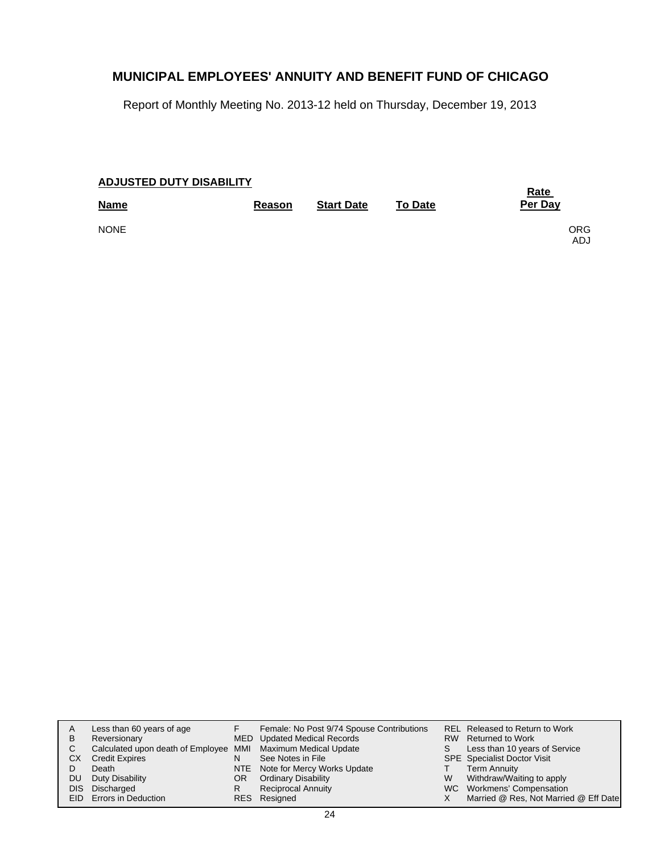Report of Monthly Meeting No. 2013-12 held on Thursday, December 19, 2013

| <b>ADJUSTED DUTY DISABILITY</b> | <u>Rate</u> |                   |                |              |
|---------------------------------|-------------|-------------------|----------------|--------------|
| <b>Name</b>                     | Reason      | <b>Start Date</b> | <b>To Date</b> | Per Day      |
| <b>NONE</b>                     |             |                   |                | ORG.<br>ADJ. |

| A     | Less than 60 years of age                                    |     | Female: No Post 9/74 Spouse Contributions |   | <b>REL Released to Return to Work</b> |
|-------|--------------------------------------------------------------|-----|-------------------------------------------|---|---------------------------------------|
| в     | Reversionary                                                 |     | MED Updated Medical Records               |   | RW Returned to Work                   |
| С     | Calculated upon death of Employee MMI Maximum Medical Update |     |                                           |   | Less than 10 years of Service         |
| СX    | <b>Credit Expires</b>                                        | N   | See Notes in File                         |   | <b>SPE</b> Specialist Doctor Visit    |
|       | Death                                                        |     | NTE Note for Mercy Works Update           |   | <b>Term Annuity</b>                   |
| DU    | Duty Disability                                              | OR. | <b>Ordinary Disability</b>                | W | Withdraw/Waiting to apply             |
| DIS I | Discharged                                                   | R   | <b>Reciprocal Annuity</b>                 |   | WC Workmens' Compensation             |
|       | EID Errors in Deduction                                      |     | RES Resigned                              |   | Married @ Res, Not Married @ Eff Date |
|       |                                                              |     |                                           |   |                                       |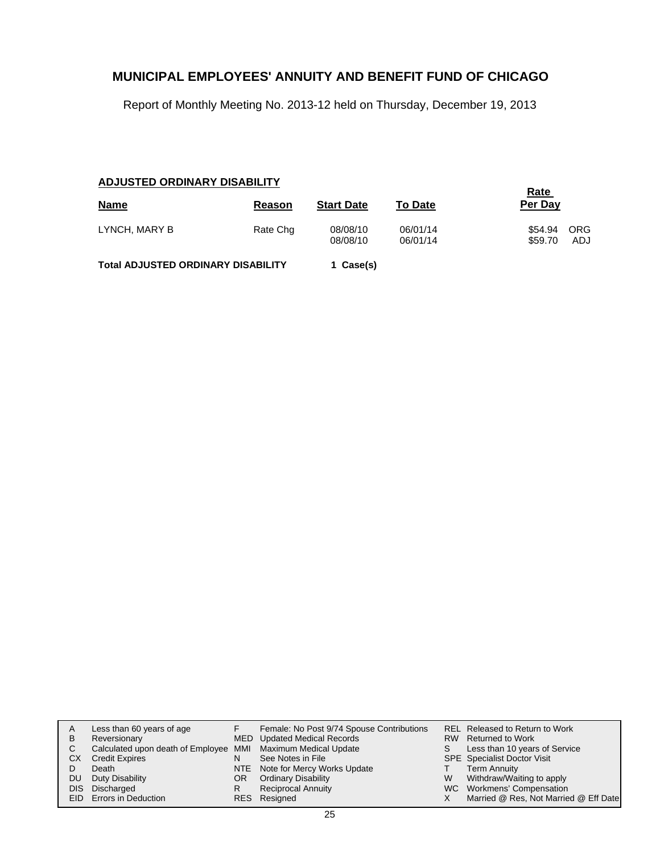Report of Monthly Meeting No. 2013-12 held on Thursday, December 19, 2013

### **ADJUSTED ORDINARY DISABILITY**

| <b>Name</b>                               | Reason   | <b>Start Date</b>    | <b>To Date</b>       | <u>Rate</u><br>Per Day |                   |
|-------------------------------------------|----------|----------------------|----------------------|------------------------|-------------------|
| LYNCH, MARY B                             | Rate Chg | 08/08/10<br>08/08/10 | 06/01/14<br>06/01/14 | \$54.94<br>\$59.70     | <b>ORG</b><br>ADJ |
| <b>Total ADJUSTED ORDINARY DISABILITY</b> |          | 1 Case(s)            |                      |                        |                   |

| A    | Less than 60 years of age                                    |    | Female: No Post 9/74 Spouse Contributions |    | <b>REL Released to Return to Work</b> |
|------|--------------------------------------------------------------|----|-------------------------------------------|----|---------------------------------------|
| B    | Reversionary                                                 |    | MED Updated Medical Records               |    | RW Returned to Work                   |
| C.   | Calculated upon death of Employee MMI Maximum Medical Update |    |                                           | S. | Less than 10 years of Service         |
| CХ   | <b>Credit Expires</b>                                        | N  | See Notes in File                         |    | <b>SPE</b> Specialist Doctor Visit    |
|      | Death                                                        |    | NTE Note for Mercy Works Update           |    | <b>Term Annuity</b>                   |
| DU.  | Duty Disability                                              | OR | <b>Ordinary Disability</b>                | W  | Withdraw/Waiting to apply             |
| DIS. | Discharged                                                   |    | <b>Reciprocal Annuity</b>                 |    | WC Workmens' Compensation             |
|      | <b>EID</b> Errors in Deduction                               |    | RES Resigned                              |    | Married @ Res, Not Married @ Eff Date |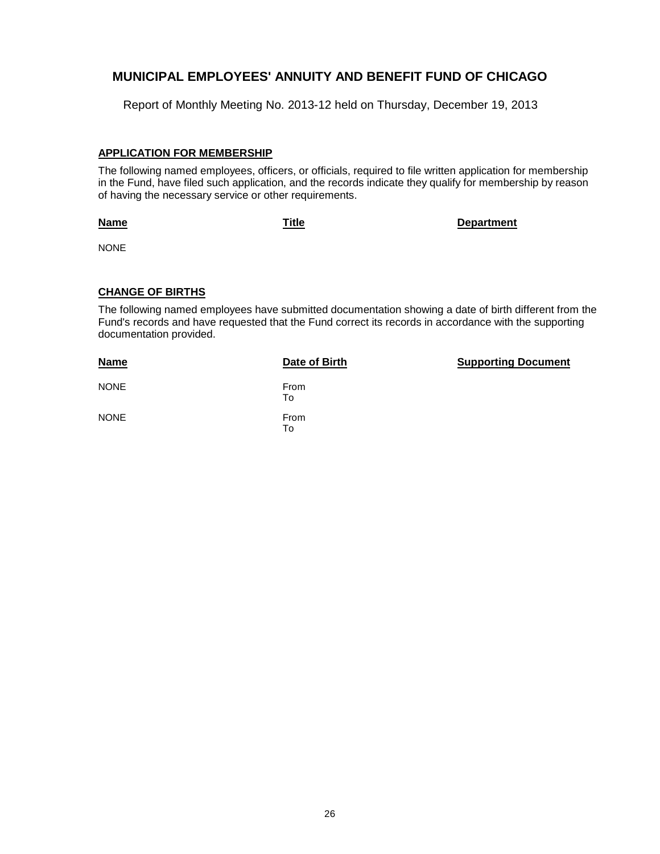Report of Monthly Meeting No. 2013-12 held on Thursday, December 19, 2013

#### **APPLICATION FOR MEMBERSHIP**

The following named employees, officers, or officials, required to file written application for membership in the Fund, have filed such application, and the records indicate they qualify for membership by reason of having the necessary service or other requirements.

#### **Name**

**Title Department**

NONE

### **CHANGE OF BIRTHS**

The following named employees have submitted documentation showing a date of birth different from the Fund's records and have requested that the Fund correct its records in accordance with the supporting documentation provided.

| <b>Name</b> | Date of Birth | <b>Supporting Document</b> |
|-------------|---------------|----------------------------|
| <b>NONE</b> | From<br>To    |                            |
| <b>NONE</b> | From<br>To    |                            |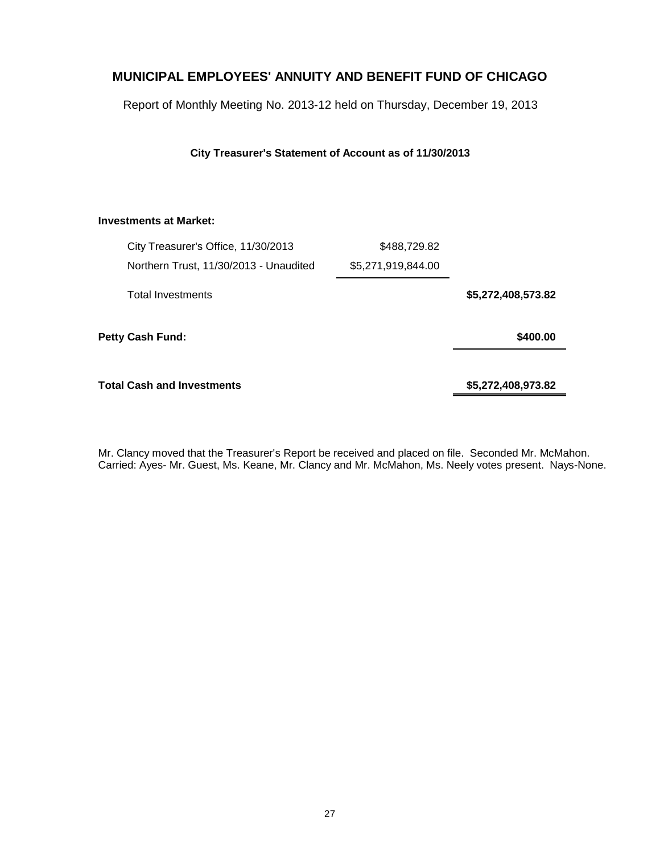Report of Monthly Meeting No. 2013-12 held on Thursday, December 19, 2013

**City Treasurer's Statement of Account as of 11/30/2013**

### **Investments at Market:**

|                         | City Treasurer's Office, 11/30/2013    | \$488,729.82       |                    |
|-------------------------|----------------------------------------|--------------------|--------------------|
|                         | Northern Trust, 11/30/2013 - Unaudited | \$5,271,919,844.00 |                    |
|                         | <b>Total Investments</b>               |                    | \$5,272,408,573.82 |
| <b>Petty Cash Fund:</b> |                                        |                    | \$400.00           |
|                         | <b>Total Cash and Investments</b>      |                    | \$5,272,408,973.82 |

Mr. Clancy moved that the Treasurer's Report be received and placed on file. Seconded Mr. McMahon. Carried: Ayes- Mr. Guest, Ms. Keane, Mr. Clancy and Mr. McMahon, Ms. Neely votes present. Nays-None.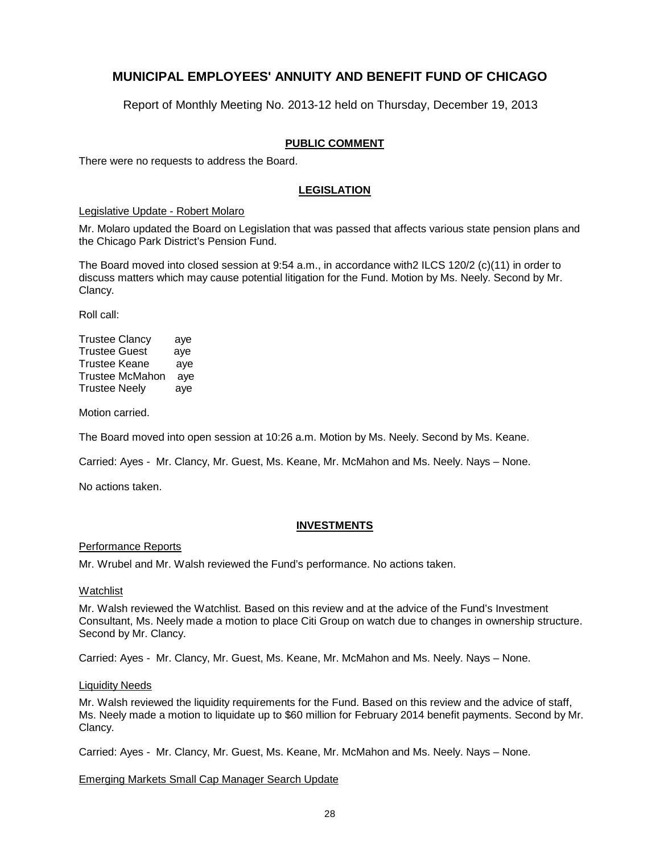Report of Monthly Meeting No. 2013-12 held on Thursday, December 19, 2013

### **PUBLIC COMMENT**

There were no requests to address the Board.

### **LEGISLATION**

#### Legislative Update - Robert Molaro

Mr. Molaro updated the Board on Legislation that was passed that affects various state pension plans and the Chicago Park District's Pension Fund.

The Board moved into closed session at 9:54 a.m., in accordance with2 ILCS 120/2 (c)(11) in order to discuss matters which may cause potential litigation for the Fund. Motion by Ms. Neely. Second by Mr. Clancy.

Roll call:

| <b>Trustee Clancy</b>  | aye |
|------------------------|-----|
| <b>Trustee Guest</b>   | aye |
| <b>Trustee Keane</b>   | aye |
| <b>Trustee McMahon</b> | aye |
| <b>Trustee Neely</b>   | aye |

Motion carried.

The Board moved into open session at 10:26 a.m. Motion by Ms. Neely. Second by Ms. Keane.

Carried: Ayes - Mr. Clancy, Mr. Guest, Ms. Keane, Mr. McMahon and Ms. Neely. Nays – None.

No actions taken.

#### **INVESTMENTS**

#### Performance Reports

Mr. Wrubel and Mr. Walsh reviewed the Fund's performance. No actions taken.

#### Watchlist

Mr. Walsh reviewed the Watchlist. Based on this review and at the advice of the Fund's Investment Consultant, Ms. Neely made a motion to place Citi Group on watch due to changes in ownership structure. Second by Mr. Clancy.

Carried: Ayes - Mr. Clancy, Mr. Guest, Ms. Keane, Mr. McMahon and Ms. Neely. Nays – None.

#### Liquidity Needs

Mr. Walsh reviewed the liquidity requirements for the Fund. Based on this review and the advice of staff, Ms. Neely made a motion to liquidate up to \$60 million for February 2014 benefit payments. Second by Mr. Clancy.

Carried: Ayes - Mr. Clancy, Mr. Guest, Ms. Keane, Mr. McMahon and Ms. Neely. Nays – None.

#### Emerging Markets Small Cap Manager Search Update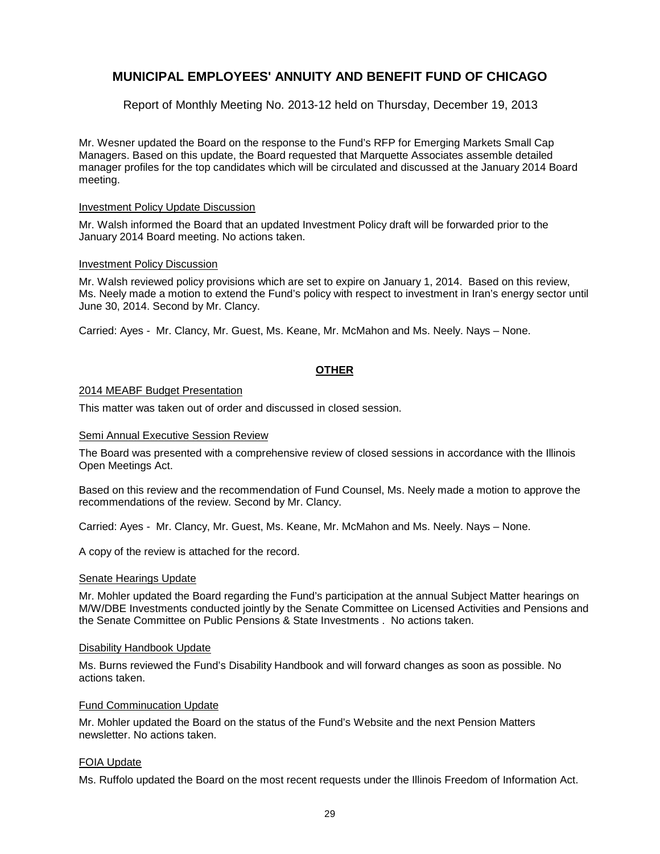Report of Monthly Meeting No. 2013-12 held on Thursday, December 19, 2013

Mr. Wesner updated the Board on the response to the Fund's RFP for Emerging Markets Small Cap Managers. Based on this update, the Board requested that Marquette Associates assemble detailed manager profiles for the top candidates which will be circulated and discussed at the January 2014 Board meeting.

#### Investment Policy Update Discussion

Mr. Walsh informed the Board that an updated Investment Policy draft will be forwarded prior to the January 2014 Board meeting. No actions taken.

#### Investment Policy Discussion

Mr. Walsh reviewed policy provisions which are set to expire on January 1, 2014. Based on this review, Ms. Neely made a motion to extend the Fund's policy with respect to investment in Iran's energy sector until June 30, 2014. Second by Mr. Clancy.

Carried: Ayes - Mr. Clancy, Mr. Guest, Ms. Keane, Mr. McMahon and Ms. Neely. Nays – None.

#### **OTHER**

#### 2014 MEABF Budget Presentation

This matter was taken out of order and discussed in closed session.

#### Semi Annual Executive Session Review

The Board was presented with a comprehensive review of closed sessions in accordance with the Illinois Open Meetings Act.

Based on this review and the recommendation of Fund Counsel, Ms. Neely made a motion to approve the recommendations of the review. Second by Mr. Clancy.

Carried: Ayes - Mr. Clancy, Mr. Guest, Ms. Keane, Mr. McMahon and Ms. Neely. Nays – None.

A copy of the review is attached for the record.

#### Senate Hearings Update

Mr. Mohler updated the Board regarding the Fund's participation at the annual Subject Matter hearings on M/W/DBE Investments conducted jointly by the Senate Committee on Licensed Activities and Pensions and the Senate Committee on Public Pensions & State Investments . No actions taken.

#### Disability Handbook Update

Ms. Burns reviewed the Fund's Disability Handbook and will forward changes as soon as possible. No actions taken.

#### Fund Comminucation Update

Mr. Mohler updated the Board on the status of the Fund's Website and the next Pension Matters newsletter. No actions taken.

#### FOIA Update

Ms. Ruffolo updated the Board on the most recent requests under the Illinois Freedom of Information Act.